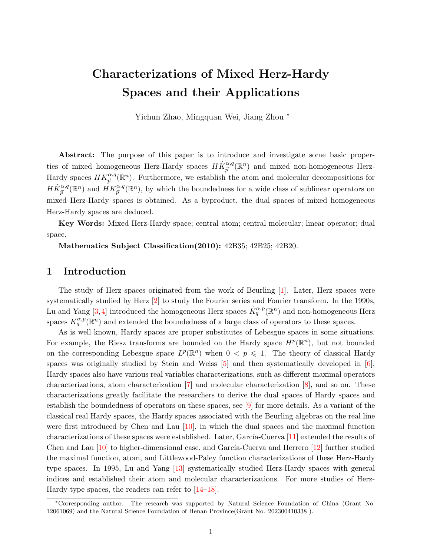# Characterizations of Mixed Herz-Hardy Spaces and their Applications

Yichun Zhao, Mingquan Wei, Jiang Zhou <sup>∗</sup>

Abstract: The purpose of this paper is to introduce and investigate some basic properties of mixed homogeneous Herz-Hardy spaces  $H\dot{K}_{\vec{p}}^{\alpha,q}(\mathbb{R}^n)$  and mixed non-homogeneous Herz-Hardy spaces  $HK_{\vec{p}}^{\alpha,q}(\mathbb{R}^n)$ . Furthermore, we establish the atom and molecular decompositions for  $H\dot{K}_{\vec{p}}^{\alpha,q}(\mathbb{R}^n)$  and  $\ddot{H}K_{\vec{p}}^{\alpha,q}(\mathbb{R}^n)$ , by which the boundedness for a wide class of sublinear operators on mixed Herz-Hardy spaces is obtained. As a byproduct, the dual spaces of mixed homogeneous Herz-Hardy spaces are deduced.

Key Words: Mixed Herz-Hardy space; central atom; central molecular; linear operator; dual space.

Mathematics Subject Classification(2010): 42B35; 42B25; 42B20.

## 1 Introduction

The study of Herz spaces originated from the work of Beurling [\[1\]](#page-28-0). Later, Herz spaces were systematically studied by Herz [\[2\]](#page-28-1) to study the Fourier series and Fourier transform. In the 1990s, Lu and Yang [\[3,](#page-28-2)[4\]](#page-28-3) introduced the homogeneous Herz spaces  $\dot{K}_q^{\alpha,p}(\mathbb{R}^n)$  and non-homogeneous Herz spaces  $K_q^{\alpha,p}(\mathbb{R}^n)$  and extended the boundedness of a large class of operators to these spaces.

As is well known, Hardy spaces are proper substitutes of Lebesgue spaces in some situations. For example, the Riesz transforms are bounded on the Hardy space  $H^p(\mathbb{R}^n)$ , but not bounded on the corresponding Lebesgue space  $L^p(\mathbb{R}^n)$  when  $0 \leq p \leq 1$ . The theory of classical Hardy spaces was originally studied by Stein and Weiss [\[5\]](#page-28-4) and then systematically developed in [\[6\]](#page-28-5). Hardy spaces also have various real variables characterizations, such as different maximal operators characterizations, atom characterization [\[7\]](#page-28-6) and molecular characterization [\[8\]](#page-28-7), and so on. These characterizations greatly facilitate the researchers to derive the dual spaces of Hardy spaces and establish the boundedness of operators on these spaces, see [\[9\]](#page-29-0) for more details. As a variant of the classical real Hardy spaces, the Hardy spaces associated with the Beurling algebras on the real line were first introduced by Chen and Lau  $[10]$ , in which the dual spaces and the maximal function characterizations of these spaces were established. Later, García-Cuerva  $[11]$  extended the results of Chen and Lau  $[10]$  to higher-dimensional case, and García-Cuerva and Herrero  $[12]$  further studied the maximal function, atom, and Littlewood-Paley function characterizations of these Herz-Hardy type spaces. In 1995, Lu and Yang [\[13\]](#page-29-4) systematically studied Herz-Hardy spaces with general indices and established their atom and molecular characterizations. For more studies of Herz-Hardy type spaces, the readers can refer to [\[14–](#page-29-5)[18\]](#page-29-6).

<sup>∗</sup>Corresponding author. The research was supported by Natural Science Foundation of China (Grant No. 12061069) and the Natural Science Foundation of Henan Province(Grant No. 202300410338 ).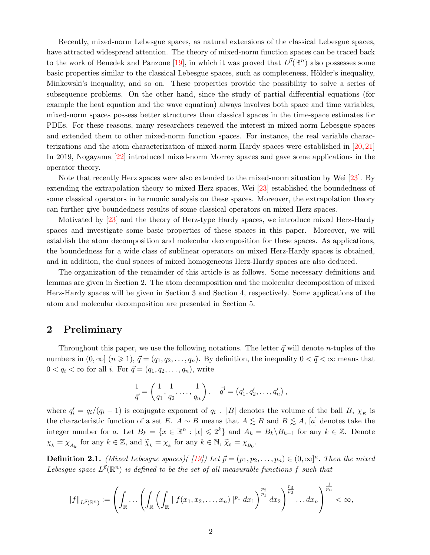Recently, mixed-norm Lebesgue spaces, as natural extensions of the classical Lebesgue spaces, have attracted widespread attention. The theory of mixed-norm function spaces can be traced back to the work of Benedek and Panzone [\[19\]](#page-29-7), in which it was proved that  $L^{\vec{p}}(\mathbb{R}^n)$  also possesses some basic properties similar to the classical Lebesgue spaces, such as completeness, Hölder's inequality, Minkowski's inequality, and so on. These properties provide the possibility to solve a series of subsequence problems. On the other hand, since the study of partial differential equations (for example the heat equation and the wave equation) always involves both space and time variables, mixed-norm spaces possess better structures than classical spaces in the time-space estimates for PDEs. For these reasons, many researchers renewed the interest in mixed-norm Lebesgue spaces and extended them to other mixed-norm function spaces. For instance, the real variable characterizations and the atom characterization of mixed-norm Hardy spaces were established in [\[20,](#page-29-8) [21\]](#page-29-9) In 2019, Nogayama [\[22\]](#page-29-10) introduced mixed-norm Morrey spaces and gave some applications in the operator theory.

Note that recently Herz spaces were also extended to the mixed-norm situation by Wei [\[23\]](#page-29-11). By extending the extrapolation theory to mixed Herz spaces, Wei [\[23\]](#page-29-11) established the boundedness of some classical operators in harmonic analysis on these spaces. Moreover, the extrapolation theory can further give boundedness results of some classical operators on mixed Herz spaces.

Motivated by [\[23\]](#page-29-11) and the theory of Herz-type Hardy spaces, we introduce mixed Herz-Hardy spaces and investigate some basic properties of these spaces in this paper. Moreover, we will establish the atom decomposition and molecular decomposition for these spaces. As applications, the boundedness for a wide class of sublinear operators on mixed Herz-Hardy spaces is obtained, and in addition, the dual spaces of mixed homogeneous Herz-Hardy spaces are also deduced.

The organization of the remainder of this article is as follows. Some necessary definitions and lemmas are given in Section 2. The atom decomposition and the molecular decomposition of mixed Herz-Hardy spaces will be given in Section 3 and Section 4, respectively. Some applications of the atom and molecular decomposition are presented in Section 5.

### 2 Preliminary

Throughout this paper, we use the following notations. The letter  $\vec{q}$  will denote *n*-tuples of the numbers in  $(0, \infty]$   $(n \ge 1)$ ,  $\vec{q} = (q_1, q_2, \ldots, q_n)$ . By definition, the inequality  $0 < \vec{q} < \infty$  means that  $0 < q_i < \infty$  for all *i*. For  $\vec{q} = (q_1, q_2, \dots, q_n)$ , write

$$
\frac{1}{\vec{q}} = \left(\frac{1}{q_1}, \frac{1}{q_2}, \dots, \frac{1}{q_n}\right), \quad \vec{q'} = (q'_1, q'_2, \dots, q'_n),
$$

where  $q'_i = q_i/(q_i - 1)$  is conjugate exponent of  $q_i$ . |B| denotes the volume of the ball B,  $\chi_E$  is the characteristic function of a set E.  $A \sim B$  means that  $A \lesssim B$  and  $B \lesssim A$ , [a] denotes take the integer number for a. Let  $B_k = \{x \in \mathbb{R}^n : |x| \leqslant 2^k\}$  and  $A_k = B_k \backslash B_{k-1}$  for any  $k \in \mathbb{Z}$ . Denote  $\chi_k = \chi_{A_k}$  for any  $k \in \mathbb{Z}$ , and  $\widetilde{\chi}_k = \chi_k$  for any  $k \in \mathbb{N}$ ,  $\widetilde{\chi}_0 = \chi_{B_0}$ .

**Definition 2.1.** (Mixed Lebesgue spaces)( [\[19\]](#page-29-7)) Let  $\vec{p} = (p_1, p_2, \ldots, p_n) \in (0, \infty]^n$ . Then the mixed Lebesgue space  $L^{\vec{p}}(\mathbb{R}^n)$  is defined to be the set of all measurable functions f such that

$$
||f||_{L^{\vec{p}}(\mathbb{R}^n)} := \left(\int_{\mathbb{R}} \ldots \left(\int_{\mathbb{R}} \left(\int_{\mathbb{R}} |f(x_1, x_2, \ldots, x_n)|^{p_1} dx_1\right)^{\frac{p_2}{p_1}} dx_2\right)^{\frac{p_3}{p_2}} \ldots dx_n\right)^{\frac{1}{p_n}} < \infty,
$$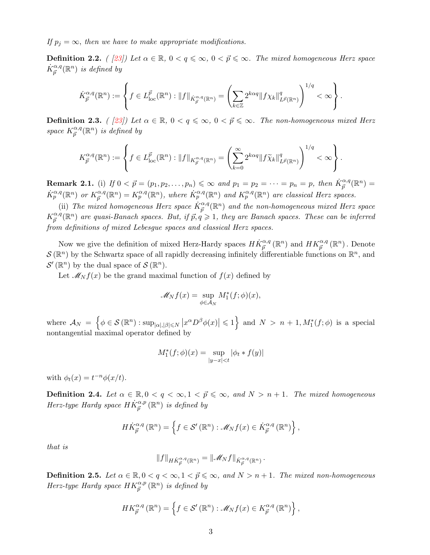If  $p_i = \infty$ , then we have to make appropriate modifications.

**Definition 2.2.** ( [\[23\]](#page-29-11)) Let  $\alpha \in \mathbb{R}$ ,  $0 < q \leq \infty$ ,  $0 < \vec{p} \leq \infty$ . The mixed homogeneous Herz space  $\dot{K}_{\vec{p}}^{\alpha,q}(\mathbb{R}^n)$  is defined by

$$
\dot{K}_{\vec{p}}^{\alpha,q}(\mathbb{R}^n) := \left\{ f \in L_{\text{loc}}^{\vec{p}}(\mathbb{R}^n) : \|f\|_{\dot{K}_{\vec{p}}^{\alpha,q}(\mathbb{R}^n)} = \left( \sum_{k \in \mathbb{Z}} 2^{k\alpha q} \|f\chi_k\|_{L^{\vec{p}}(\mathbb{R}^n)}^q \right)^{1/q} < \infty \right\}.
$$

**Definition 2.3.** ( [\[23\]](#page-29-11)) Let  $\alpha \in \mathbb{R}$ ,  $0 < q \leq \infty$ ,  $0 < \vec{p} \leq \infty$ . The non-homogeneous mixed Herz space  $K^{\alpha,q}_{\vec{n}}$  $_{\vec{p}}^{\alpha,q}(\mathbb{R}^n)$  is defined by

$$
K_{\vec{p}}^{\alpha,q}(\mathbb{R}^n) := \left\{ f \in L_{\text{loc}}^{\vec{p}}(\mathbb{R}^n) : \|f\|_{K_{\vec{p}}^{\alpha,q}(\mathbb{R}^n)} = \left( \sum_{k=0}^{\infty} 2^{k\alpha q} \|f\widetilde{\chi}_k\|_{L^{\vec{p}}(\mathbb{R}^n)}^q \right)^{1/q} < \infty \right\}.
$$

**Remark 2.1.** (i) If  $0 < \vec{p} = (p_1, p_2, \ldots, p_n) \le \infty$  and  $p_1 = p_2 = \cdots = p_n = p$ , then  $\dot{K}_{\vec{p}}^{\alpha, q}(\mathbb{R}^n) =$  $\dot{K}_p^{\alpha,q}(\mathbb{R}^n)$  or  $K_{\vec{n}}^{\alpha,q}$  $G_{\vec{p}}^{\alpha,q}(\mathbb{R}^n) = K_p^{\alpha,q}(\mathbb{R}^n)$ , where  $\dot{K}_p^{\alpha,q}(\mathbb{R}^n)$  and  $K_p^{\alpha,q}(\mathbb{R}^n)$  are classical Herz spaces.

(ii) The mixed homogeneous Herz space  $\dot{K}_{\vec{p}}^{\alpha,q}(\mathbb{R}^n)$  and the non-homogeneous mixed Herz space  $K^{\alpha,q}_{\vec{n}}$  $^{a,q}_{\vec{p}}(\mathbb{R}^n)$  are quasi-Banach spaces. But, if  $\vec{p}, \vec{q} \geq 1$ , they are Banach spaces. These can be inferred from definitions of mixed Lebesgue spaces and classical Herz spaces.

Now we give the definition of mixed Herz-Hardy spaces  $H\dot{K}_{\vec{p}}^{\alpha,q}(\mathbb{R}^n)$  and  $HK_{\vec{p}}^{\alpha,q}(\mathbb{R}^n)$ . Denote  $\mathcal{S}(\mathbb{R}^n)$  by the Schwartz space of all rapidly decreasing infinitely differentiable functions on  $\mathbb{R}^n$ , and  $\mathcal{S}'(\mathbb{R}^n)$  by the dual space of  $\mathcal{S}(\mathbb{R}^n)$ .

Let  $\mathcal{M}_N f(x)$  be the grand maximal function of  $f(x)$  defined by

$$
\mathscr{M}_N f(x) = \sup_{\phi \in \mathcal{A}_N} M_1^*(f; \phi)(x),
$$

where  $\mathcal{A}_N = \left\{ \phi \in \mathcal{S}(\mathbb{R}^n) : \sup_{|\alpha|, |\beta| \leq N} \left| x^{\alpha} D^{\beta} \phi(x) \right| \leqslant 1 \right\}$  and  $N > n + 1, M_1^*(f; \phi)$  is a special nontangential maximal operator defined by

$$
M_1^*(f; \phi)(x) = \sup_{|y-x| < t} |\phi_t * f(y)|
$$

with  $\phi_t(x) = t^{-n} \phi(x/t)$ .

**Definition 2.4.** Let  $\alpha \in \mathbb{R}, 0 \le q \le \infty, 1 \le \vec{p} \le \infty$ , and  $N > n + 1$ . The mixed homogeneous Herz-type Hardy space  $H\dot{K}_{\vec{p}}^{\alpha,p}\left(\mathbb{R}^{n}\right)$  is defined by

$$
H\dot{K}_{\vec{p}}^{\alpha,q}(\mathbb{R}^n) = \left\{ f \in \mathcal{S}'(\mathbb{R}^n) : \mathscr{M}_N f(x) \in \dot{K}_{\vec{p}}^{\alpha,q}(\mathbb{R}^n) \right\},\,
$$

that is

$$
||f||_{HK_{\vec{p}}^{\alpha,q}(\mathbb{R}^n)} = ||\mathscr{M}_Nf||_{\dot{K}_{\vec{p}}^{\alpha,q}(\mathbb{R}^n)}.
$$

**Definition 2.5.** Let  $\alpha \in \mathbb{R}, 0 < q < \infty, 1 < \overrightarrow{p} \leq \infty$ , and  $N > n + 1$ . The mixed non-homogeneous Herz-type Hardy space  $HK_{\vec{p}}^{\alpha,p}(\mathbb{R}^n)$  is defined by

$$
HK_{\vec{p}}^{\alpha,q}(\mathbb{R}^n) = \left\{ f \in \mathcal{S}'(\mathbb{R}^n) : \mathscr{M}_N f(x) \in K_{\vec{p}}^{\alpha,q}(\mathbb{R}^n) \right\},\,
$$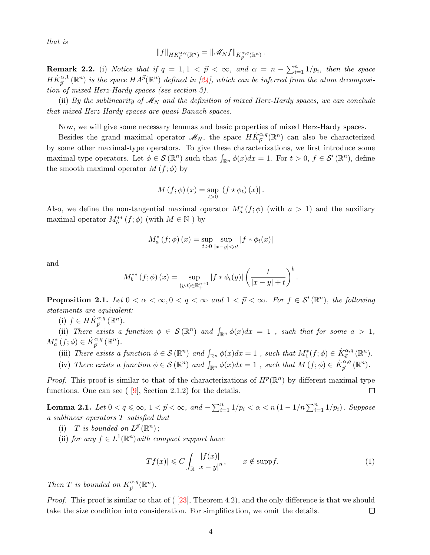that is

$$
||f||_{HK_{\vec{p}}^{\alpha,q}(\mathbb{R}^n)} = ||\mathscr{M}_N f||_{K_{\vec{p}}^{\alpha,q}(\mathbb{R}^n)}.
$$

**Remark 2.2.** (i) Notice that if  $q = 1, 1 \leq \vec{p} \leq \infty$ , and  $\alpha = n - \sum_{i=1}^{n} 1/p_i$ , then the space  $H\dot{K}_{\vec{p}}^{\alpha,1}(\mathbb{R}^n)$  is the space  $HA^{\vec{p}}(\mathbb{R}^n)$  defined in [\[24\]](#page-29-12), which can be inferred from the atom decomposition of mixed Herz-Hardy spaces (see section 3).

(ii) By the sublinearity of  $\mathscr{M}_{N}$  and the definition of mixed Herz-Hardy spaces, we can conclude that mixed Herz-Hardy spaces are quasi-Banach spaces.

Now, we will give some necessary lemmas and basic properties of mixed Herz-Hardy spaces.

Besides the grand maximal operator  $\mathscr{M}_N$ , the space  $H\dot{K}_{\vec{p}}^{\alpha,q}(\mathbb{R}^n)$  can also be characterized by some other maximal-type operators. To give these characterizations, we first introduce some maximal-type operators. Let  $\phi \in \mathcal{S}(\mathbb{R}^n)$  such that  $\int_{\mathbb{R}^n} \phi(x) dx = 1$ . For  $t > 0$ ,  $f \in \mathcal{S}'(\mathbb{R}^n)$ , define the smooth maximal operator  $M(f; \phi)$  by

$$
M(f; \phi)(x) = \sup_{t>0} |(f * \phi_t)(x)|.
$$

Also, we define the non-tangential maximal operator  $M_a^*(f; \phi)$  (with  $a > 1$ ) and the auxiliary maximal operator  $M_b^{**}(f; \phi)$  (with  $M \in \mathbb{N}$ ) by

$$
M_{a}^{*}(f; \phi)(x) = \sup_{t>0} \sup_{|x-y| < at} |f * \phi_{t}(x)|
$$

and

$$
M_b^{**}(f; \phi)(x) = \sup_{(y,t) \in \mathbb{R}_+^{n+1}} |f * \phi_t(y)| \left(\frac{t}{|x - y| + t}\right)^b.
$$

**Proposition 2.1.** Let  $0 < \alpha < \infty, 0 < q < \infty$  and  $1 < \vec{p} < \infty$ . For  $f \in \mathcal{S}'(\mathbb{R}^n)$ , the following statements are equivalent:

(i)  $f \in H\dot{K}_{\vec{p}}^{\alpha,q}(\mathbb{R}^n)$ .

(ii) There exists a function  $\phi \in \mathcal{S}(\mathbb{R}^n)$  and  $\int_{\mathbb{R}^n} \phi(x) dx = 1$ , such that for some  $a > 1$ ,  $M_a^*(f; \phi) \in \dot{K}_{\vec{p}}^{\alpha,q}(\mathbb{R}^n).$ 

- (iii) There exists a function  $\phi \in \mathcal{S}(\mathbb{R}^n)$  and  $\int_{\mathbb{R}^n} \phi(x) dx = 1$ , such that  $M_1^*(f; \phi) \in \dot{K}_{\vec{p}}^{\alpha, q}(\mathbb{R}^n)$ .
- (iv) There exists a function  $\phi \in \mathcal{S}(\mathbb{R}^n)$  and  $\int_{\mathbb{R}^n} \phi(x) dx = 1$ , such that  $M(f; \phi) \in \dot{K}_{\vec{p}}^{\alpha, q}(\mathbb{R}^n)$ .

*Proof.* This proof is similar to that of the characterizations of  $H^p(\mathbb{R}^n)$  by different maximal-type functions. One can see  $(9]$ , Section 2.1.2) for the details.  $\Box$ 

<span id="page-3-0"></span>**Lemma 2.1.** Let  $0 < q \le \infty$ ,  $1 < \vec{p} < \infty$ , and  $-\sum_{i=1}^{n} 1/p_i < \alpha < n (1 - 1/n) \sum_{i=1}^{n} 1/p_i$ . Suppose a sublinear operators T satisfied that

- (i) T is bounded on  $L^{\vec{p}}(\mathbb{R}^n)$ ;
- (ii) for any  $f \in L^1(\mathbb{R}^n)$  with compact support have

$$
|Tf(x)| \leqslant C \int_{\mathbb{R}} \frac{|f(x)|}{|x - y|^n}, \qquad x \notin \text{supp} f. \tag{1}
$$

Then T is bounded on  $K^{\alpha,q}_{\vec{n}}$  $_{\vec{p}}^{\alpha,q}(\mathbb{R}^n).$ 

*Proof.* This proof is similar to that of  $(23)$ , Theorem 4.2), and the only difference is that we should take the size condition into consideration. For simplification, we omit the details.  $\Box$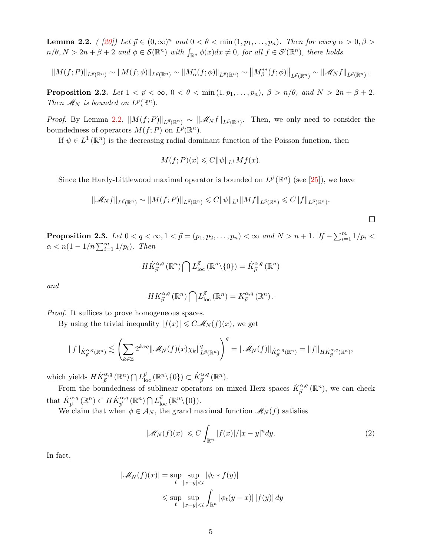<span id="page-4-0"></span>**Lemma 2.2.** ( [\[20\]](#page-29-8)) Let  $\vec{p} \in (0,\infty)^n$  and  $0 < \theta < \min(1,p_1,\ldots,p_n)$ . Then for every  $\alpha > 0, \beta >$  $n/\theta, N > 2n + \beta + 2$  and  $\phi \in \mathcal{S}(\mathbb{R}^n)$  with  $\int_{\mathbb{R}^n} \phi(x) dx \neq 0$ , for all  $f \in \mathcal{S}'(\mathbb{R}^n)$ , there holds

$$
||M(f;P)||_{L^{\vec{p}}(\mathbb{R}^n)} \sim ||M(f;\phi)||_{L^{\vec{p}}(\mathbb{R}^n)} \sim ||M^*_{\alpha}(f;\phi)||_{L^{\vec{p}}(\mathbb{R}^n)} \sim ||M^{**}_{\beta}(f;\phi)||_{L^{\vec{p}}(\mathbb{R}^n)} \sim ||\mathcal{M}_N f||_{L^{\vec{p}}(\mathbb{R}^n)}.
$$

<span id="page-4-3"></span>**Proposition 2.2.** Let  $1 < \overrightarrow{p} < \infty$ ,  $0 < \theta < \min(1, p_1, \ldots, p_n)$ ,  $\beta > n/\theta$ , and  $N > 2n + \beta + 2$ . Then  $\mathscr{M}_N$  is bounded on  $L^{\vec{p}}(\mathbb{R}^n)$ .

*Proof.* By Lemma [2.2,](#page-4-0)  $||M(f; P)||_{L^{\vec{p}}(\mathbb{R}^n)} \sim ||\mathcal{M}_N f||_{L^{\vec{p}}(\mathbb{R}^n)}$ . Then, we only need to consider the boundedness of operators  $M(f; P)$  on  $L^{\vec{p}}(\mathbb{R}^n)$ .

If  $\psi \in L^1(\mathbb{R}^n)$  is the decreasing radial dominant function of the Poisson function, then

$$
M(f;P)(x) \leqslant C ||\psi||_{L^1} Mf(x).
$$

Since the Hardy-Littlewood maximal operator is bounded on  $L^{\vec{p}}(\mathbb{R}^n)$  (see [\[25\]](#page-29-13)), we have

$$
\|\mathscr{M}_N f\|_{L^{\vec{p}}(\mathbb{R}^n)} \sim \|M(f;P)\|_{L^{\vec{p}}(\mathbb{R}^n)} \leq C \|\psi\|_{L^1} \|Mf\|_{L^{\vec{p}}(\mathbb{R}^n)} \leq C \|f\|_{L^{\vec{p}}(\mathbb{R}^n)}.
$$

<span id="page-4-2"></span>**Proposition 2.3.** Let  $0 < q < \infty, 1 < \vec{p} = (p_1, p_2, \ldots, p_n) < \infty$  and  $N > n + 1$ . If  $-\sum_{i=1}^{m} 1/p_i <$  $\alpha < n(1 - 1/n \sum_{i=1}^{m} 1/p_i)$ . Then

$$
H\dot{K}_{\vec{p}}^{\alpha,q}(\mathbb{R}^n)\bigcap L^{\vec{p}}_{\text{loc}}(\mathbb{R}^n\backslash\{0\})=\dot{K}_{\vec{p}}^{\alpha,q}(\mathbb{R}^n)
$$

and

$$
HK_{\vec{p}}^{\alpha,q}(\mathbb{R}^n)\bigcap L_{\text{loc}}^{\vec{p}}(\mathbb{R}^n)=K_{\vec{p}}^{\alpha,q}(\mathbb{R}^n).
$$

Proof. It suffices to prove homogeneous spaces.

By using the trivial inequality  $|f(x)| \leq C M_N(f)(x)$ , we get

$$
\|f\|_{\dot{K}_{\vec{p}}^{\alpha,q}(\mathbb{R}^n)} \lesssim \left(\sum_{k\in\mathbb{Z}} 2^{k\alpha q} \|\mathscr{M}_N(f)(x)\chi_k\|_{L^{\vec{p}}(\mathbb{R}^n)}^q\right)^q = \|\mathscr{M}_N(f)\|_{\dot{K}_{\vec{p}}^{\alpha,q}(\mathbb{R}^n)} = \|f\|_{H\dot{K}_{\vec{p}}^{\alpha,q}(\mathbb{R}^n)},
$$

which yields  $H\dot{K}_{\vec{p}}^{\alpha,q}(\mathbb{R}^n) \bigcap L_{\text{loc}}^{\vec{p}}(\mathbb{R}^n \setminus \{0\}) \subset \dot{K}_{\vec{p}}^{\alpha,q}(\mathbb{R}^n)$ .

From the boundedness of sublinear operators on mixed Herz spaces  $\dot{K}_{\vec{p}}^{\alpha,q}(\mathbb{R}^n)$ , we can check that  $\dot{K}_{\vec{p}}^{\alpha,q}(\mathbb{R}^n) \subset H\dot{K}_{\vec{p}}^{\alpha,q}(\mathbb{R}^n) \bigcap L_{\text{loc}}^{\vec{p}}(\mathbb{R}^n \setminus \{0\}).$ 

We claim that when  $\phi \in \mathcal{A}_N$ , the grand maximal function  $\mathcal{M}_N(f)$  satisfies

<span id="page-4-1"></span>
$$
|\mathscr{M}_N(f)(x)| \leqslant C \int_{\mathbb{R}^n} |f(x)|/|x-y|^n dy. \tag{2}
$$

 $\Box$ 

In fact,

$$
|\mathscr{M}_N(f)(x)| = \sup_t \sup_{|x-y| < t} |\phi_t * f(y)|
$$
  

$$
\leq \sup_t \sup_{|x-y| < t} \int_{\mathbb{R}^n} |\phi_t(y-x)| |f(y)| dy
$$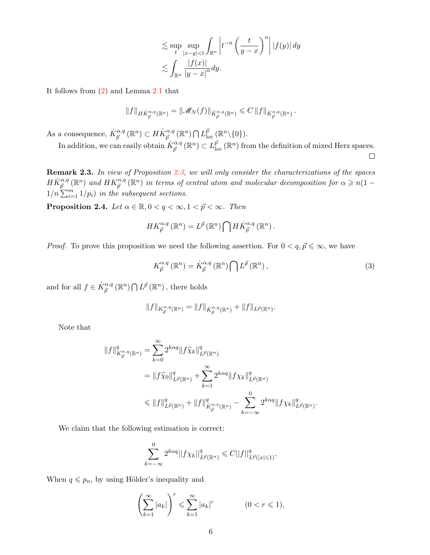$$
\lesssim \sup_{t} \sup_{|x-y| < t} \int_{\mathbb{R}^n} \left| t^{-n} \left( \frac{t}{y-x} \right)^n \right| |f(y)| dy
$$
  

$$
\lesssim \int_{\mathbb{R}^n} \frac{|f(x)|}{|y-x|^n} dy.
$$

It follows from [\(2\)](#page-4-1) and Lemma [2.1](#page-3-0) that

$$
||f||_{H\dot{K}_{\vec{p}}^{\alpha,q}(\mathbb{R}^n)} = ||\mathscr{M}_N(f)||_{\dot{K}_{\vec{p}}^{\alpha,q}(\mathbb{R}^n)} \leqslant C ||f||_{\dot{K}_{\vec{p}}^{\alpha,q}(\mathbb{R}^n)}.
$$

As a consequence,  $\dot{K}_{\vec{p}}^{\alpha,q}(\mathbb{R}^n) \subset H\dot{K}_{\vec{p}}^{\alpha,q}(\mathbb{R}^n) \cap L_{\text{loc}}^{\vec{p}}(\mathbb{R}^n \setminus \{0\}).$ 

In addition, we can easily obtain  $\dot{K}_{\vec{p}}^{\alpha,q}(\mathbb{R}^n) \subset L^{\vec{p}}_{\text{loc}}(\mathbb{R}^n)$  from the definition of mixed Herz spaces.  $\Box$ 

Remark 2.3. In view of Proposition [2.3,](#page-4-2) we will only consider the characterizations of the spaces  $H\dot{K}_{\vec{p}}^{\alpha,q}(\mathbb{R}^n)$  and  $HK_{\vec{p}}^{\alpha,q}(\mathbb{R}^n)$  in terms of central atom and molecular decomposition for  $\alpha \geqslant n(1-\alpha)$  $1/n \sum_{i=1}^{m} 1/p_i$  in the subsequent sections.

**Proposition 2.4.** Let  $\alpha \in \mathbb{R}, 0 < q < \infty, 1 < \vec{p} < \infty$ . Then

$$
HK_{\vec{p}}^{\alpha,q}(\mathbb{R}^n) = L^{\vec{p}}(\mathbb{R}^n) \bigcap H\dot{K}_{\vec{p}}^{\alpha,q}(\mathbb{R}^n).
$$

*Proof.* To prove this proposition we need the following assertion. For  $0 < q, \vec{p} \leq \infty$ , we have

<span id="page-5-0"></span>
$$
K_{\vec{p}}^{\alpha,q}(\mathbb{R}^n) = \dot{K}_{\vec{p}}^{\alpha,q}(\mathbb{R}^n) \bigcap L^{\vec{p}}(\mathbb{R}^n),\tag{3}
$$

.

and for all  $f \in \dot{K}_{\vec{p}}^{\alpha,q}(\mathbb{R}^n) \bigcap L^{\vec{p}}(\mathbb{R}^n)$ , there holds

$$
||f||_{K^{\alpha,q}_{\vec{p}}(\mathbb{R}^n)} = ||f||_{\dot{K}^{\alpha,q}_{\vec{p}}(\mathbb{R}^n)} + ||f||_{L^{\vec{p}}(\mathbb{R}^n)}.
$$

Note that

$$
||f||_{K^{\alpha,q}_{\vec{p}}(\mathbb{R}^n)}^q = \sum_{k=0}^{\infty} 2^{k\alpha q} ||f\tilde{\chi}_k||_{L^{\vec{p}}(\mathbb{R}^n)}^q
$$
  
=  $||f\tilde{\chi}_0||_{L^{\vec{p}}(\mathbb{R}^n)}^q + \sum_{k=1}^{\infty} 2^{k\alpha q} ||f\chi_k||_{L^{\vec{p}}(\mathbb{R}^n)}^q$   
 $\leq ||f||_{L^{\vec{p}}(\mathbb{R}^n)}^q + ||f||_{K^{\alpha,q}_{\vec{p}}(\mathbb{R}^n)}^q - \sum_{k=-\infty}^0 2^{k\alpha q} ||f\chi_k||_{L^{\vec{p}}(\mathbb{R}^n)}^q$ 

We claim that the following estimation is correct:

$$
\sum_{k=-\infty}^{0} 2^{k\alpha q} ||f \chi_k||_{L^{\vec{p}}(\mathbb{R}^n)}^q \leq C ||f||_{L^{\vec{p}}(|x| \leq 1)}^q.
$$

When  $q \leq p_n$ , by using Hölder's inequality and

$$
\left(\sum_{k=1}^{\infty} |a_k|\right)^r \leqslant \sum_{k=1}^{\infty} |a_k|^r \qquad (0 < r \leqslant 1),
$$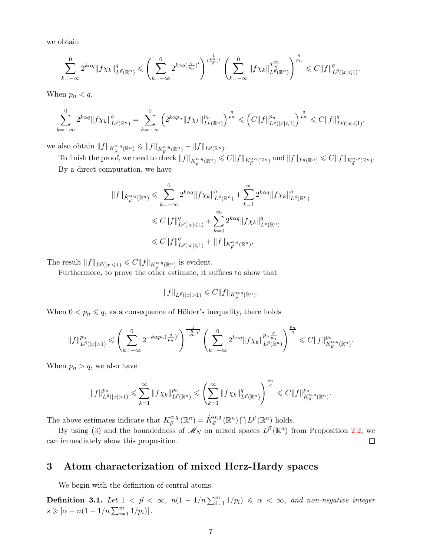we obtain

$$
\sum_{k=-\infty}^0 2^{k\alpha q} \|f\chi_k\|_{L^{\vec{p}}(\mathbb{R}^n)}^q \leqslant \left(\sum_{k=-\infty}^0 2^{k\alpha q (\frac{q}{p_n})'}\right)^{\frac{1}{(\frac{p_n}{q})'}}\left(\sum_{k=-\infty}^0 \|f\chi_k\|_{L^{\vec{p}}(\mathbb{R}^n)}^{q\frac{p_n}{q}}\right)^{\frac{q}{p_n}} \leqslant C \|f\|_{L^{\vec{p}}(|x|\leqslant 1)}^q.
$$

When  $p_n < q$ ,

$$
\sum_{k=-\infty}^{0} 2^{k\alpha q} \|f\chi_k\|_{L^{\vec{p}}(\mathbb{R}^n)}^q = \sum_{k=-\infty}^{0} \left( 2^{k\alpha p_n} \|f\chi_k\|_{L^{\vec{p}}(\mathbb{R}^n)}^{p_n} \right)^{\frac{q}{p_n}} \leqslant \left(C \|f\|_{L^{\vec{p}}(|x|\leqslant 1)}^{p_n} \right)^{\frac{q}{p_n}} \leqslant C \|f\|_{L^{\vec{p}}(|x|\leqslant 1)}^q,
$$

we also obtain  $||f||_{K^{\alpha,q}_{\vec{p}}(\mathbb{R}^n)} \leq ||f||_{\dot{K}^{\alpha,q}_{\vec{p}}(\mathbb{R}^n)} + ||f||_{L^{\vec{p}}(\mathbb{R}^n)}$ .

To finish the proof, we need to check  $||f||_{\dot{K}^{\alpha,q}_{\vec{p}}(\mathbb{R}^n)} \leqslant C ||f||_{K^{\alpha,q}_{\vec{p}}(\mathbb{R}^n)}$  and  $||f||_{L^{\vec{q}}(\mathbb{R}^n)} \leqslant C ||f||_{K^{\alpha,p}_{\vec{q}}(\mathbb{R}^n)}$ . By a direct computation, we have

$$
||f||_{\dot{K}_{\vec{p}}^{\alpha,q}(\mathbb{R}^n)} \leq \sum_{k=-\infty}^{0} 2^{k\alpha q} ||f \chi_k||_{L^{\vec{p}}(\mathbb{R}^n)}^q + \sum_{k=1}^{\infty} 2^{k\alpha q} ||f \chi_k||_{L^{\vec{p}}(\mathbb{R}^n)}^q
$$
  

$$
\leq C ||f||_{L^{\vec{p}}(|x|\leq 1)}^q + \sum_{k=0}^{\infty} 2^{k\alpha q} ||f \chi_k||_{L^{\vec{p}}(\mathbb{R}^n)}^q
$$
  

$$
\leq C ||f||_{L^{\vec{p}}(|x|\leq 1)}^q + ||f||_{K_{\vec{p}}^{\alpha,q}(\mathbb{R}^n)}.
$$

The result  $||f||_{L^{\vec{p}}(|x|\leq 1)} \leq C||f||_{K^{\alpha,q}_{\vec{p}}(\mathbb{R}^n)}$  is evident.

Furthermore, to prove the other estimate, it suffices to show that

$$
||f||_{L^{\vec{p}}(|x|>1)} \leqslant C||f||_{K^{\alpha,q}_{\vec{p}}(\mathbb{R}^n)}.
$$

When  $0 < p_n \leq q$ , as a consequence of Hölder's inequality, there holds

$$
\|f\|_{L^{\vec{p}}(|x|>1)}^{p_n}\leqslant \left(\sum_{k=-\infty}^0 2^{-k\alpha p_n(\frac{q}{p_n})'}\right)^{\frac{1}{(\frac{q}{p_n})'}}\left(\sum_{k=-\infty}^0 2^{k\alpha q}\|f\chi_k\|_{L^{\vec{p}}(\mathbb R^n)}^{p_n\frac{q}{p_n}}\right)^{\frac{p_n}{q}}\leqslant C\|f\|_{K^{\alpha,q}_{\vec{p}}(\mathbb R^n)}^{p_n}.
$$

When  $p_n > q$ , we also have

$$
||f||_{L^{\vec{p}}(|x|>1)}^{p_n} \leqslant \sum_{k=1}^{\infty} ||f\chi_k||_{L^{\vec{p}}(\mathbb{R}^n)}^{p_n} \leqslant \left(\sum_{k=1}^{\infty} ||f\chi_k||_{L^{\vec{p}}(\mathbb{R}^n)}^q\right)^{\frac{p_n}{q}} \leqslant C||f||_{K^{\alpha,q}_{\vec{p}}(\mathbb{R}^n)}^{p_n}.
$$

The above estimates indicate that  $K_{\vec{p}}^{\alpha,q}$  $\phi_{\vec{p}}^{\alpha,q}(\mathbb{R}^n) = \dot{K}_{\vec{p}}^{\alpha,q}(\mathbb{R}^n) \bigcap L^{\vec{p}}(\mathbb{R}^n)$  holds.

By using [\(3\)](#page-5-0) and the boundedness of  $\mathscr{M}_N$  on mixed spaces  $L^{\vec{p}}(\mathbb{R}^n)$  from Proposition [2.2,](#page-4-3) we can immediately show this proposition.  $\Box$ 

## 3 Atom characterization of mixed Herz-Hardy spaces

We begin with the definition of central atoms.

**Definition 3.1.** Let  $1 < p \leq \infty$ ,  $n(1 - 1/n \sum_{i=1}^{m} 1/p_i) \leq \alpha < \infty$ , and non-negative integer  $s \geqslant [\alpha - n(1 - 1/n \sum_{i=1}^{m} 1/p_i)].$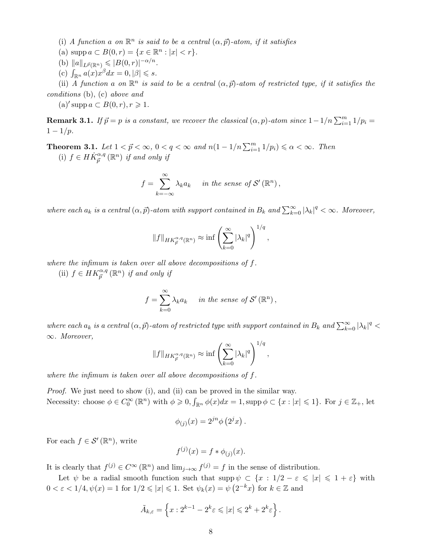(i) A function a on  $\mathbb{R}^n$  is said to be a central  $(\alpha, \vec{p})$ -atom, if it satisfies

- (a)  $\text{supp } a \subset B(0,r) = \{x \in \mathbb{R}^n : |x| < r\}.$
- (b)  $||a||_{L^{\vec{p}}(\mathbb{R}^n)} \leqslant |B(0,r)|^{-\alpha/n}$ .
- (c)  $\int_{\mathbb{R}^n} a(x) x^{\beta} dx = 0, |\beta| \leq s.$

(ii) A function a on  $\mathbb{R}^n$  is said to be a central  $(\alpha, \vec{p})$ -atom of restricted type, if it satisfies the conditions (b), (c) above and

(a)' supp  $a \subset B(0,r)$ ,  $r \geq 1$ .

**Remark 3.1.** If  $\vec{p} = p$  is a constant, we recover the classical  $(\alpha, p)$ -atom since  $1 - 1/n \sum_{i=1}^{m} 1/p_i =$  $1 - 1/p$ .

<span id="page-7-0"></span>**Theorem 3.1.** Let  $1 < \vec{p} < \infty$ ,  $0 < q < \infty$  and  $n(1 - 1/n \sum_{i=1}^{m} 1/p_i) \le \alpha < \infty$ . Then (i)  $f \in H\dot{K}_{\vec{p}}^{\alpha,q}(\mathbb{R}^n)$  if and only if

$$
f = \sum_{k=-\infty}^{\infty} \lambda_k a_k \quad in \ the \ sense \ of \ \mathcal{S}'(\mathbb{R}^n),
$$

where each  $a_k$  is a central  $(\alpha, \vec{p})$ -atom with support contained in  $B_k$  and  $\sum_{k=0}^{\infty} |\lambda_k|^q < \infty$ . Moreover,

$$
||f||_{HK_{\vec{p}}^{\alpha,q}(\mathbb{R}^n)} \approx \inf \left(\sum_{k=0}^{\infty} |\lambda_k|^q\right)^{1/q},
$$

where the infimum is taken over all above decompositions of f.

(ii)  $f \in HK_{\vec{p}}^{\alpha,q}(\mathbb{R}^n)$  if and only if

$$
f = \sum_{k=0}^{\infty} \lambda_k a_k \quad in the sense of \mathcal{S}'(\mathbb{R}^n),
$$

where each  $a_k$  is a central  $(\alpha, \vec{p})$ -atom of restricted type with support contained in  $B_k$  and  $\sum_{k=0}^{\infty} |\lambda_k|^q$ ∞. Moreover,

$$
||f||_{HK_p^{\alpha,q}(\mathbb{R}^n)} \approx \inf \left(\sum_{k=0}^{\infty} |\lambda_k|^q\right)^{1/q},
$$

where the infimum is taken over all above decompositions of f.

*Proof.* We just need to show (i), and (ii) can be proved in the similar way. Necessity: choose  $\phi \in C_0^{\infty}(\mathbb{R}^n)$  with  $\phi \geqslant 0$ ,  $\int_{\mathbb{R}^n} \phi(x) dx = 1$ , supp  $\phi \subset \{x : |x| \leqslant 1\}$ . For  $j \in \mathbb{Z}_+$ , let

$$
\phi_{(j)}(x) = 2^{jn} \phi\left(2^j x\right).
$$

For each  $f \in \mathcal{S}'(\mathbb{R}^n)$ , write

$$
f^{(j)}(x) = f * \phi_{(j)}(x).
$$

It is clearly that  $f^{(j)} \in C^{\infty}(\mathbb{R}^n)$  and  $\lim_{j\to\infty} f^{(j)} = f$  in the sense of distribution.

Let  $\psi$  be a radial smooth function such that  $\text{supp }\psi \subset \{x: 1/2 - \varepsilon \leqslant |x| \leqslant 1 + \varepsilon\}$  with  $0 < \varepsilon < 1/4, \psi(x) = 1$  for  $1/2 \leqslant |x| \leqslant 1$ . Set  $\psi_k(x) = \psi(2^{-k}x)$  for  $k \in \mathbb{Z}$  and

$$
\tilde{A}_{k,\varepsilon} = \left\{ x : 2^{k-1} - 2^k \varepsilon \leqslant |x| \leqslant 2^k + 2^k \varepsilon \right\}.
$$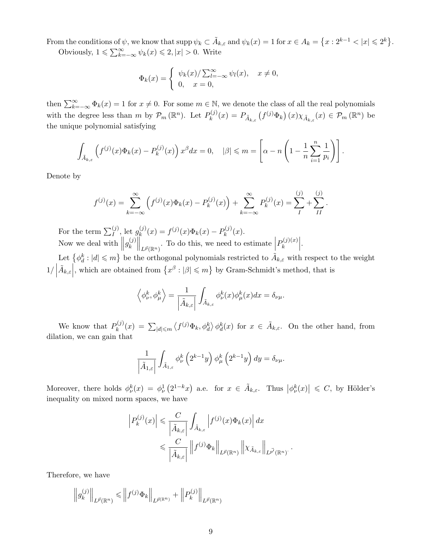From the conditions of  $\psi$ , we know that  $\mathrm{supp} \psi_k \subset \tilde{A}_{k,\varepsilon}$  and  $\psi_k(x) = 1$  for  $x \in A_k = \{x : 2^{k-1} < |x| \leqslant 2^k\}.$ 

Obviously,  $1 \leqslant \sum_{k=-\infty}^{\infty} \psi_k(x) \leqslant 2, |x| > 0$ . Write

$$
\Phi_k(x) = \begin{cases} \psi_k(x)/\sum_{l=-\infty}^{\infty} \psi_l(x), & x \neq 0, \\ 0, & x = 0, \end{cases}
$$

then  $\sum_{k=-\infty}^{\infty} \Phi_k(x) = 1$  for  $x \neq 0$ . For some  $m \in \mathbb{N}$ , we denote the class of all the real polynomials with the degree less than m by  $\mathcal{P}_m(\mathbb{R}^n)$ . Let  $P_k^{(j)}$  $k_k^{(j)}(x) = P_{\tilde{A}_{k,\varepsilon}}(f^{(j)}\Phi_k)(x)\chi_{\tilde{A}_{k,\varepsilon}}(x) \in \mathcal{P}_m(\mathbb{R}^n)$  be the unique polynomial satisfying

$$
\int_{\tilde{A}_{k,\varepsilon}} \left( f^{(j)}(x) \Phi_k(x) - P_k^{(j)}(x) \right) x^{\beta} dx = 0, \quad |\beta| \leqslant m = \left[ \alpha - n \left( 1 - \frac{1}{n} \sum_{i=1}^n \frac{1}{p_i} \right) \right].
$$

Denote by

$$
f^{(j)}(x) = \sum_{k=-\infty}^{\infty} \left( f^{(j)}(x) \Phi_k(x) - P_k^{(j)}(x) \right) + \sum_{k=-\infty}^{\infty} P_k^{(j)}(x) = \sum_{I}^{(j)} + \sum_{II}^{(j)}.
$$

For the term  $\sum_{I}^{(j)}$ , let  $g_k^{(j)}$  $k^{(j)}(x) = f^{(j)}(x)\Phi_k(x) - P_k^{(j)}$  $\mathfrak{h}_k^{(J)}(x).$ Now we deal with  $||g_k^{(j)}||$  $\| \binom{(j)}{k} \bigg\|_{L^{\vec{p}}(\mathbb{R}^n)}$ . To do this, we need to estimate  $P_k^{(j)(x)}$  $\left. \begin{array}{c} k^{(j)(x)} \end{array} \right|.$ 

Let  $\{\phi_d^k: |d|\leqslant m\}$  be the orthogonal polynomials restricted to  $\tilde{A}_{k,\varepsilon}$  with respect to the weight 1/     $\tilde{A}_{k,\varepsilon}\Big|$ , which are obtained from  $\{x^{\beta}:|\beta|\leqslant m\}$  by Gram-Schmidt's method, that is

$$
\left\langle \phi_{\nu}^{k},\phi_{\mu}^{k}\right\rangle =\frac{1}{\left|\tilde{A}_{k,\varepsilon}\right|}\int_{\tilde{A}_{k,\varepsilon}}\phi_{\nu}^{k}(x)\phi_{\mu}^{k}(x)dx=\delta_{\nu\mu}.
$$

We know that  $P_k^{(j)}$  $\hat{A}_k^{(j)}(x) = \sum_{|d| \leqslant m} \langle f^{(j)} \Phi_k, \phi_d^k \rangle \phi_d^k(x)$  for  $x \in \tilde{A}_{k,\varepsilon}$ . On the other hand, from dilation, we can gain that

$$
\frac{1}{\left|\tilde{A}_{1,\varepsilon}\right|} \int_{\tilde{A}_{1,\varepsilon}} \phi_{\nu}^{k}\left(2^{k-1}y\right) \phi_{\mu}^{k}\left(2^{k-1}y\right) dy = \delta_{\nu\mu}.
$$

Moreover, there holds  $\phi_{\nu}^k(x) = \phi_{\nu}^1(2^{1-k}x)$  a.e. for  $x \in \tilde{A}_{k,\varepsilon}$ . Thus  $|\phi_{\nu}^k(x)| \leq C$ , by Hölder's inequality on mixed norm spaces, we have

$$
\left| P_k^{(j)}(x) \right| \leqslant \frac{C}{\left| \tilde{A}_{k,\varepsilon} \right|} \int_{\tilde{A}_{k,\varepsilon}} \left| f^{(j)}(x) \Phi_k(x) \right| dx
$$
  

$$
\leqslant \frac{C}{\left| \tilde{A}_{k,\varepsilon} \right|} \left\| f^{(j)} \Phi_k \right\|_{L^{\vec{p}}(\mathbb{R}^n)} \left\| \chi_{\tilde{A}_{k,\varepsilon}} \right\|_{L^{\vec{p}'}(\mathbb{R}^n)}.
$$

.

Therefore, we have

$$
\left\|g_k^{(j)}\right\|_{L^{\vec{p}}(\mathbb{R}^n)} \leqslant \left\|f^{(j)}\Phi_k\right\|_{L^{\vec{p}(\mathbb{R}^n)}} + \left\|P_k^{(j)}\right\|_{L^{\vec{p}}(\mathbb{R}^n)}
$$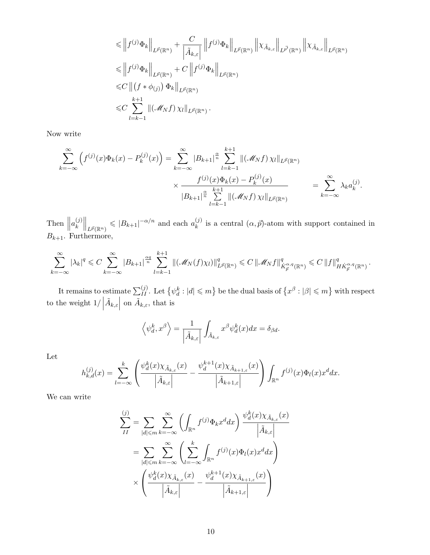$$
\leq \left\| f^{(j)} \Phi_k \right\|_{L^{\vec{p}}(\mathbb{R}^n)} + \frac{C}{\left| \tilde{A}_{k,\varepsilon} \right|} \left\| f^{(j)} \Phi_k \right\|_{L^{\vec{p}}(\mathbb{R}^n)} \left\| \chi_{\tilde{A}_{k,\varepsilon}} \right\|_{L^{\vec{p}'}(\mathbb{R}^n)} \left\| \chi_{\tilde{A}_{k,\varepsilon}} \right\|_{L^{\vec{p}}(\mathbb{R}^n)} \right\|
$$
  
\n
$$
\leq \left\| f^{(j)} \Phi_k \right\|_{L^{\vec{p}}(\mathbb{R}^n)} + C \left\| f^{(j)} \Phi_k \right\|_{L^{\vec{p}}(\mathbb{R}^n)} \leq C \left\| (f * \phi_{(j)}) \Phi_k \right\|_{L^{\vec{p}}(\mathbb{R}^n)} \leq C \sum_{l=k-1}^{k+1} \left\| (\mathcal{M}_N f) \chi_l \right\|_{L^{\vec{p}}(\mathbb{R}^n)}.
$$

Now write

$$
\sum_{k=-\infty}^{\infty} \left( f^{(j)}(x) \Phi_k(x) - P_k^{(j)}(x) \right) = \sum_{k=-\infty}^{\infty} |B_{k+1}|^{\frac{\alpha}{n}} \sum_{l=k-1}^{k+1} \| (\mathcal{M}_N f) \chi_l \|_{L^{\vec{p}}(\mathbb{R}^n)} \times \frac{f^{(j)}(x) \Phi_k(x) - P_k^{(j)}(x)}{|B_{k+1}|^{\frac{\alpha}{n}} \sum_{l=k-1}^{k+1} \| (\mathcal{M}_N f) \chi_l \|_{L^{\vec{p}}(\mathbb{R}^n)} = \sum_{k=-\infty}^{\infty} \lambda_k a_k^{(j)}.
$$

Then  $\parallel$  $a_k^{(j)}$  $\|k^{(j)}\|_{L^{\vec{p}}(\mathbb{R}^n)} \leqslant |B_{k+1}|^{-\alpha/n}$  and each  $a_k^{(j)}$  $\binom{U}{k}$  is a central  $(\alpha, \vec{p})$ -atom with support contained in  $B_{k+1}$ . Furthermore,

$$
\sum_{k=-\infty}^{\infty} |\lambda_k|^q \leq C \sum_{k=-\infty}^{\infty} |B_{k+1}|^{\frac{\alpha q}{n}} \sum_{l=k-1}^{k+1} \| (\mathcal{M}_N(f)\chi_l) \|_{L^{\vec{p}}(\mathbb{R}^n)}^q \leq C \left\| \mathcal{M}_N f \right\|_{\dot{K}^{\alpha,q}_{\vec{p}}(\mathbb{R}^n)}^q \leq C \left\| f \right\|_{\dot{H}\dot{K}^{\alpha,q}_{\vec{p}}(\mathbb{R}^n)}^q.
$$

It remains to estimate  $\sum_{II}^{(j)}$ . Let  $\left\{\psi_d^k:|d|\leqslant m\right\}$  be the dual basis of  $\left\{x^\beta:|\beta|\leqslant m\right\}$  with respect to the weight  $1/\left| \right.$  $\tilde{A}_{k,\varepsilon}\Big|$ on  $\tilde{A}_{k,\varepsilon}$ , that is

$$
\left\langle \psi_d^k, x^{\beta} \right\rangle = \frac{1}{\left| \tilde{A}_{k,\varepsilon} \right|} \int_{\tilde{A}_{k,\varepsilon}} x^{\beta} \psi_d^k(x) dx = \delta_{\beta d}.
$$

Let

$$
h_{k,d}^{(j)}(x) = \sum_{l=-\infty}^{k} \left( \frac{\psi_d^k(x)\chi_{\tilde{A}_{k,\varepsilon}}(x)}{\left|\tilde{A}_{k,\varepsilon}\right|} - \frac{\psi_d^{k+1}(x)\chi_{\tilde{A}_{k+1,\varepsilon}}(x)}{\left|\tilde{A}_{k+1,\varepsilon}\right|} \right) \int_{\mathbb{R}^n} f^{(j)}(x) \Phi_l(x) x^d dx.
$$

We can write

$$
\sum_{II}^{(j)} = \sum_{|d| \le m} \sum_{k=-\infty}^{\infty} \left( \int_{\mathbb{R}^n} f^{(j)} \Phi_k x^d dx \right) \frac{\psi_d^k(x) \chi_{\tilde{A}_{k,\varepsilon}}(x)}{\left| \tilde{A}_{k,\varepsilon} \right|}
$$

$$
= \sum_{|d| \le m} \sum_{k=-\infty}^{\infty} \left( \sum_{l=-\infty}^{k} \int_{\mathbb{R}^n} f^{(j)}(x) \Phi_l(x) x^d dx \right)
$$

$$
\times \left( \frac{\psi_d^k(x) \chi_{\tilde{A}_{k,\varepsilon}}(x)}{\left| \tilde{A}_{k,\varepsilon} \right|} - \frac{\psi_d^{k+1}(x) \chi_{\tilde{A}_{k+1,\varepsilon}}(x)}{\left| \tilde{A}_{k+1,\varepsilon} \right|} \right)
$$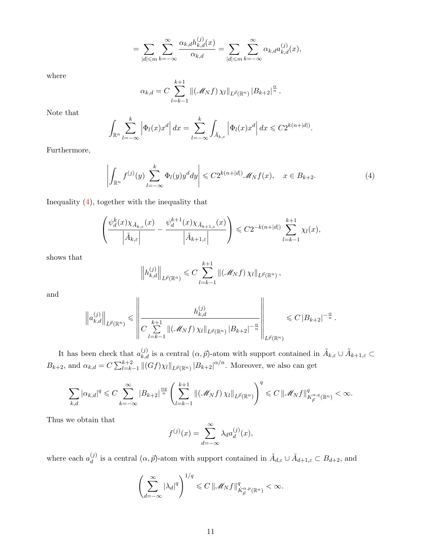$$
= \sum_{|d| \leqslant m} \sum_{k=-\infty}^{\infty} \frac{\alpha_{k,d} h_{k,d}^{(j)}(x)}{\alpha_{k,d}} = \sum_{|d| \leqslant m} \sum_{k=-\infty}^{\infty} \alpha_{k,d} a_{k,d}^{(j)}(x),
$$

where

$$
\alpha_{k,d} = C \sum_{l=k-1}^{k+1} \| (\mathcal{M}_N f) \chi_l \|_{L^{\vec{p}}(\mathbb{R}^n)} |B_{k+2}|^{\frac{\alpha}{n}}.
$$

Note that

$$
\int_{\mathbb{R}^n} \sum_{l=-\infty}^k \left| \Phi_l(x) x^d \right| dx = \sum_{l=-\infty}^k \int_{\tilde{A}_{k,\varepsilon}} \left| \Phi_l(x) x^d \right| dx \leqslant C 2^{k(n+|d|)}.
$$

Furthermore,

<span id="page-10-0"></span>
$$
\left| \int_{\mathbb{R}^n} f^{(j)}(y) \sum_{l=-\infty}^k \Phi_l(y) y^l dy \right| \leq C 2^{k(n+|d|)} \mathcal{M}_N f(x), \quad x \in B_{k+2}.
$$
 (4)

Inequality  $(4)$ , together with the inequality that

$$
\left(\frac{\psi_d^k(x)\chi_{\tilde{A}_{k,\varepsilon}}(x)}{\left|\tilde{A}_{k,\varepsilon}\right|}-\frac{\psi_d^{k+1}(x)\chi_{\tilde{A}_{k+1,\varepsilon}}(x)}{\left|\tilde{A}_{k+1,\varepsilon}\right|}\right)\leqslant C2^{-k(n+|d|)}\sum_{l=k-1}^{k+1}\chi_l(x),
$$

shows that

$$
\left\|h_{k,d}^{(j)}\right\|_{L^{\vec{p}}(\mathbb{R}^n)} \leqslant C \sum_{l=k-1}^{k+1} \|(\mathscr{M}_N f)\,\chi_l\|_{L^{\vec{p}}(\mathbb{R}^n)},
$$

and

$$
\left\|a_{k,d}^{(j)}\right\|_{L^{\vec{p}}(\mathbb{R}^n)} \leqslant \left\|\frac{h_{k,d}^{(j)}}{C\sum\limits_{l=k-1}^{k+1}\|(\mathcal{M}_N f)\,\chi_l\|_{L^{\vec{p}}(\mathbb{R}^n)}\,|B_{k+2}|^{-\frac{\alpha}{n}}}\right\|_{L^{\vec{p}}(\mathbb{R}^n)} \leqslant C\,|B_{k+2}|^{-\frac{\alpha}{n}}.
$$

It has been check that  $a_{k,d}^{(j)}$  is a central  $(\alpha, \vec{p})$ -atom with support contained in  $\tilde{A}_{k,\varepsilon} \cup \tilde{A}_{k+1,\varepsilon} \subset$  $B_{k+2}$ , and  $\alpha_{k,d} = C \sum_{l=k-1}^{k+2} ||(Gf)\chi_l||_{L^{\vec{p}}(\mathbb{R}^n)} |B_{k+2}|^{\alpha/n}$ . Moreover, we also can get

$$
\sum_{k,d}|\alpha_{k,d}|^q\leqslant C\sum_{k=-\infty}^\infty|B_{k+2}|^{\frac{\alpha q}{n}}\left(\sum_{l=k-1}^{k+1}\|(\mathscr{M}_Nf)\,\chi_l\|_{L^{\vec{p}}(\mathbb{R}^n)}\right)^q\leqslant C\,\|\mathscr{M}_Nf\|_{K^{\alpha,q}_{\vec{p}}(\mathbb{R}^n)}^q<\infty.
$$

Thus we obtain that

$$
f^{(j)}(x) = \sum_{d=-\infty}^{\infty} \lambda_d a_d^{(j)}(x),
$$

where each  $a_d^{(j)}$  $\tilde{d}_d^{(j)}$  is a central  $(\alpha, \vec{p})$ -atom with support contained in  $\tilde{A}_{d,\varepsilon} \cup \tilde{A}_{d+1,\varepsilon} \subset B_{d+2}$ , and

$$
\left(\sum_{d=-\infty}^{\infty}|\lambda_d|^q\right)^{1/q}\leqslant C\,\|\mathscr{M}_N f\|^q_{\dot{K}^{\alpha,p}_{\vec{p}}(\mathbb{R}^n)}<\infty.
$$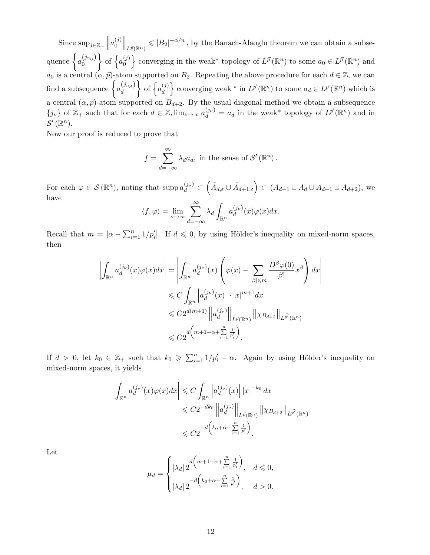Since  $\sup_{j\in\mathbb{Z}_+}\|$  $a_0^{(j)}$  $\|0^{(j)}\|_{L^{\vec{p}}(\mathbb{R}^n)} \leqslant |B_2|^{-\alpha/n}$ , by the Banach-Alaoglu theorem we can obtain a subsequence  $\Big\{a_0^{(j_{n_0})}\Big\}$  $\Big\}$  of  $\Big\{a_0^{(j)}\Big\}$  $\{S^{(j)}\}$  converging in the weak\* topology of  $L^{\vec{p}}(\mathbb{R}^n)$  to some  $a_0 \in L^{\vec{p}}(\mathbb{R}^n)$  and  $a_0$  is a central  $(\alpha, \vec{p})$ -atom supported on  $B_2$ . Repeating the above procedure for each  $d \in \mathbb{Z}$ , we can find a subsequence  $\begin{cases} a_d^{(j_{n_d})} \end{cases}$ d  $\Big\}$  of  $\Big\{a_d^{(j)}\Big\}$  $\{d_i\}$  converging weak \* in  $L^{\vec{p}}(\mathbb{R}^n)$  to some  $a_d \in L^{\vec{p}}(\mathbb{R}^n)$  which is a central  $(\alpha, \vec{p})$ -atom supported on  $B_{d+2}$ . By the usual diagonal method we obtain a subsequence  ${j_{\nu}}$  of  $\mathbb{Z}_{+}$  such that for each  $d \in \mathbb{Z}$ ,  $\lim_{\nu \to \infty} a_{d}^{(j_{\nu})} = a_{d}$  in the weak\* topology of  $L^{\vec{p}}(\mathbb{R}^{n})$  and in  $\mathcal{S}'(\mathbb{R}^n)$ .

Now our proof is reduced to prove that

$$
f = \sum_{d=-\infty}^{\infty} \lambda_d a_d
$$
, in the sense of  $\mathcal{S}'(\mathbb{R}^n)$ .

For each  $\varphi \in \mathcal{S}(\mathbb{R}^n)$ , noting that  $\text{supp }a_d^{(j_\nu)} \subset \left(\tilde{A}_{d,\varepsilon}\cup \tilde{A}_{d+1,\varepsilon}\right) \subset (A_{d-1}\cup A_d\cup A_{d+1}\cup A_{d+2})$ , we have

$$
\langle f, \varphi \rangle = \lim_{\nu \to \infty} \sum_{d=-\infty}^{\infty} \lambda_d \int_{\mathbb{R}^n} a_d^{(j_\nu)}(x) \varphi(x) dx.
$$

Recall that  $m = [\alpha - \sum_{i=1}^n 1/p'_i]$ . If  $d \leq 0$ , by using Hölder's inequality on mixed-norm spaces, then

$$
\left| \int_{\mathbb{R}^n} a_d^{(j_\nu)}(x) \varphi(x) dx \right| = \left| \int_{\mathbb{R}^n} a_d^{(j_\nu)}(x) \left( \varphi(x) - \sum_{|\beta| \leq m} \frac{D^\beta \varphi(0)}{\beta!} x^\beta \right) dx \right|
$$
  

$$
\leq C \int_{\mathbb{R}^n} \left| a_d^{(j_\nu)}(x) \right| \cdot |x|^{m+1} dx
$$
  

$$
\leq C 2^{d(m+1)} \left\| a_d^{(j_\nu)} \right\|_{L^{\vec{p}}(\mathbb{R}^n)} \left\| \chi_{B_{d+2}} \right\|_{L^{\vec{p}'}(\mathbb{R}^n)}
$$
  

$$
\leq C 2^{d \left( m + 1 - \alpha + \sum_{i=1}^n \frac{1}{p'_i} \right)}.
$$

If  $d > 0$ , let  $k_0 \in \mathbb{Z}_+$  such that  $k_0 \geq \sum_{i=1}^n 1/p'_i - \alpha$ . Again by using Hölder's inequality on mixed-norm spaces, it yields

$$
\left| \int_{\mathbb{R}^n} a_d^{(j_\nu)}(x) \varphi(x) dx \right| \leq C \int_{\mathbb{R}^n} \left| a_d^{(j_\nu)}(x) \right| |x|^{-k_0} dx
$$
  

$$
\leq C 2^{-dk_0} \left\| a_d^{(j_\nu)} \right\|_{L^{\vec{p}}(\mathbb{R}^n)} \left\| \chi_{B_{d+2}} \right\|_{L^{\vec{p}'}(\mathbb{R}^n)}
$$
  

$$
\leq C 2^{-d \left( k_0 + \alpha - \sum_{i=1}^n \frac{1}{p'} \right)}.
$$

Let

$$
\mu_d = \begin{cases} |\lambda_d| \, 2^{d \big( m+1-\alpha + \sum\limits_{i=1}^n \frac{1}{p_i'} \big)} , & d \leq 0, \\ |\lambda_d| \, 2^{-d \big( k_0 + \alpha - \sum\limits_{i=1}^n \frac{1}{p'} \big)} , & d > 0. \end{cases}
$$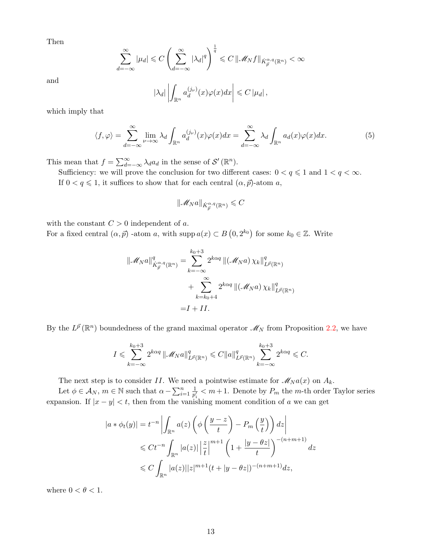Then

$$
\sum_{d=-\infty}^{\infty} |\mu_d| \leq C \left( \sum_{d=-\infty}^{\infty} |\lambda_d|^q \right)^{\frac{1}{q}} \leq C \left( \left| \mathcal{M}_N f \right| \right)_{\dot{K}_{\vec{p}}^{\alpha,q}(\mathbb{R}^n)} < \infty
$$

and

$$
|\lambda_d| \left| \int_{\mathbb{R}^n} a_d^{(j_\nu)}(x) \varphi(x) dx \right| \leqslant C |\mu_d|,
$$

which imply that

$$
\langle f, \varphi \rangle = \sum_{d=-\infty}^{\infty} \lim_{\nu \to \infty} \lambda_d \int_{\mathbb{R}^n} a_d^{(j_\nu)}(x) \varphi(x) dx = \sum_{d=-\infty}^{\infty} \lambda_d \int_{\mathbb{R}^n} a_d(x) \varphi(x) dx.
$$
 (5)

This mean that  $f = \sum_{d=-\infty}^{\infty} \lambda_d a_d$  in the sense of  $\mathcal{S}'(\mathbb{R}^n)$ .

Sufficiency: we will prove the conclusion for two different cases:  $0 < q \leq 1$  and  $1 < q < \infty$ . If  $0 < q \leq 1$ , it suffices to show that for each central  $(\alpha, \vec{p})$ -atom a,

$$
\|\mathscr{M}_N a\|_{\dot{K}^{\alpha,q}_{\vec{p}}(\mathbb{R}^n)}\leqslant C
$$

with the constant  $C > 0$  independent of a.

For a fixed central  $(\alpha, \vec{p})$  -atom a, with supp  $a(x) \subset B(0, 2^{k_0})$  for some  $k_0 \in \mathbb{Z}$ . Write

$$
\|\mathcal{M}_N a\|_{\dot{K}_{\vec{p}}^{\alpha,q}(\mathbb{R}^n)}^q = \sum_{k=-\infty}^{k_0+3} 2^{k\alpha q} \|(\mathcal{M}_N a) \chi_k\|_{L^{\vec{p}}(\mathbb{R}^n)}^q
$$

$$
+ \sum_{k=k_0+4}^{\infty} 2^{k\alpha q} \|(\mathcal{M}_N a) \chi_k\|_{L^{\vec{p}}(\mathbb{R}^n)}^q
$$

$$
= I + II.
$$

By the  $L^{\vec{p}}(\mathbb{R}^n)$  boundedness of the grand maximal operator  $\mathscr{M}_N$  from Proposition [2.2,](#page-4-3) we have

$$
I \leqslant \sum_{k=-\infty}^{k_0+3} 2^{k\alpha q} \left\| \mathcal{M}_N a \right\|_{L^{\vec{p}}(\mathbb{R}^n)}^q \leqslant C \|a\|_{L^{\vec{p}}(\mathbb{R}^n)}^q \sum_{k=-\infty}^{k_0+3} 2^{k\alpha q} \leqslant C.
$$

The next step is to consider II. We need a pointwise estimate for  $\mathcal{M}_N a(x)$  on  $A_k$ .

Let  $\phi \in \mathcal{A}_N$ ,  $m \in \mathbb{N}$  such that  $\alpha - \sum_{i=1}^n \frac{1}{p_i^{\alpha}}$  $\frac{1}{p'_i} < m+1$ . Denote by  $P_m$  the m-th order Taylor series expansion. If  $|x - y| < t$ , then from the vanishing moment condition of a we can get

$$
|a * \phi_t(y)| = t^{-n} \left| \int_{\mathbb{R}^n} a(z) \left( \phi \left( \frac{y - z}{t} \right) - P_m \left( \frac{y}{t} \right) \right) dz \right|
$$
  

$$
\leq C t^{-n} \int_{\mathbb{R}^n} |a(z)| \left| \frac{z}{t} \right|^{m+1} \left( 1 + \frac{|y - \theta z|}{t} \right)^{-(n+m+1)} dz
$$
  

$$
\leq C \int_{\mathbb{R}^n} |a(z)| |z|^{m+1} (t + |y - \theta z|)^{-(n+m+1)} dz,
$$

where  $0 < \theta < 1$ .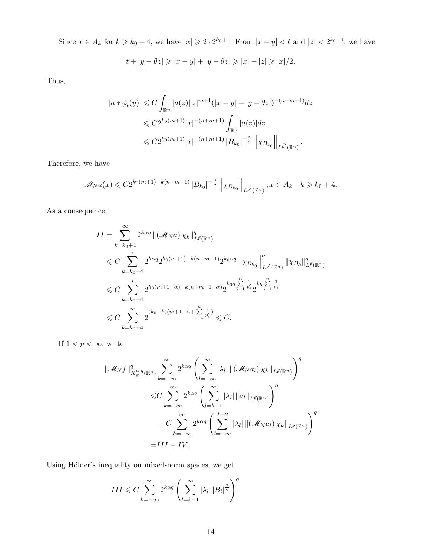Since  $x \in A_k$  for  $k \geq k_0 + 4$ , we have  $|x| \geq 2 \cdot 2^{k_0+1}$ . From  $|x - y| < t$  and  $|z| < 2^{k_0+1}$ , we have

$$
t + |y - \theta z| \ge |x - y| + |y - \theta z| \ge |x| - |z| \ge |x|/2.
$$

Thus,

$$
|a * \phi_t(y)| \leq C \int_{\mathbb{R}^n} |a(z)| |z|^{m+1} (|x - y| + |y - \theta z|)^{-(n+m+1)} dz
$$
  

$$
\leq C 2^{k_0(m+1)} |x|^{-(n+m+1)} \int_{\mathbb{R}^n} |a(z)| dz
$$
  

$$
\leq C 2^{k_0(m+1)} |x|^{-(n+m+1)} |B_{k_0}|^{-\frac{\alpha}{n}} \left\| \chi_{B_{k_0}} \right\|_{L^{\overrightarrow{p}'}(\mathbb{R}^n)}.
$$

Therefore, we have

$$
\mathscr{M}_N a(x) \leq C2^{k_0(m+1)-k(n+m+1)} |B_{k_0}|^{-\frac{\alpha}{n}} \left\| \chi_{B_{k_0}} \right\|_{L^{\vec{p'}}(\mathbb{R}^n)}, x \in A_k \quad k \geq k_0 + 4.
$$

As a consequence,

$$
II = \sum_{k=k_0+4}^{\infty} 2^{k\alpha q} || (\mathcal{M}_N a) \chi_k ||_{L^{\vec{p}}(\mathbb{R}^n)}^q
$$
  
\n
$$
\leq C \sum_{k=k_0+4}^{\infty} 2^{k\alpha q} 2^{k_0(m+1)-k(n+m+1)} 2^{k_0\alpha q} || \chi_{B_{k_0}} ||_{L^{\vec{p}'}(\mathbb{R}^n)}^q || \chi_{B_k} ||_{L^{\vec{p}}(\mathbb{R}^n)}^q
$$
  
\n
$$
\leq C \sum_{k=k_0+4}^{\infty} 2^{k_0(m+1-\alpha)-k(n+m+1-\alpha)} 2^{k_0 q} \sum_{i=1}^n \frac{1}{p_i'} 2^{k q} \sum_{i=1}^n \frac{1}{p_i}
$$
  
\n
$$
\leq C \sum_{k=k_0+4}^{\infty} 2^{(k_0-k)(m+1-\alpha+\sum_{i=1}^n \frac{1}{p_i'})} \leq C.
$$

If  $1 < p < \infty$ , write

$$
\|\mathcal{M}_{N}f\|_{\dot{K}_{\vec{p}}^{\alpha,q}(\mathbb{R}^{n})}^{q} \sum_{k=-\infty}^{\infty} 2^{k\alpha q} \left( \sum_{l=-\infty}^{\infty} |\lambda_{l}| \| (\mathcal{M}_{N}a_{l}) \chi_{k} \|_{L^{\vec{p}}(\mathbb{R}^{n})} \right)^{q}
$$
  

$$
\leq C \sum_{k=-\infty}^{\infty} 2^{k\alpha q} \left( \sum_{l=k-1}^{\infty} |\lambda_{l}| \|a_{l}\|_{L^{\vec{p}}(\mathbb{R}^{n})} \right)^{q}
$$
  
+ 
$$
C \sum_{k=-\infty}^{\infty} 2^{k\alpha q} \left( \sum_{l=-\infty}^{k-2} |\lambda_{l}| \| (\mathcal{M}_{N}a_{l}) \chi_{k} \|_{L^{\vec{p}}(\mathbb{R}^{n})} \right)^{q}
$$
  
= 
$$
III + IV.
$$

Using Hölder's inequality on mixed-norm spaces, we get

$$
III \leq C \sum_{k=-\infty}^{\infty} 2^{k\alpha q} \left( \sum_{l=k-1}^{\infty} |\lambda_l| |B_l|^{\frac{\alpha}{n}} \right)^q
$$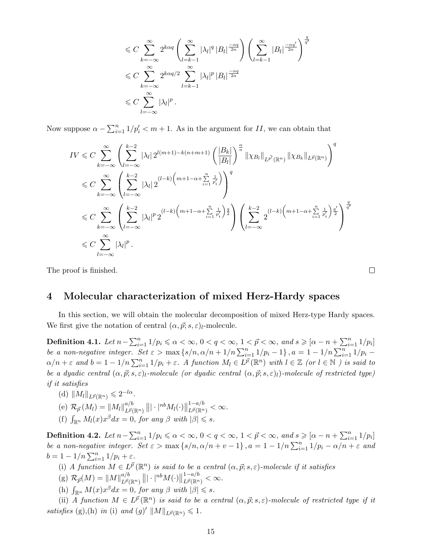$$
\leq C \sum_{k=-\infty}^{\infty} 2^{k\alpha q} \left( \sum_{l=k-1}^{\infty} |\lambda_l|^q |B_l|^{\frac{-\alpha q}{2n}} \right) \left( \sum_{l=k-1}^{\infty} |B_l|^{\frac{-\alpha q'}{2n}} \right)^{\frac{q}{q'}} \leq C \sum_{k=-\infty}^{\infty} 2^{k\alpha q/2} \sum_{l=k-1}^{\infty} |\lambda_l|^p |B_l|^{\frac{-\alpha q}{2n}} \leq C \sum_{l=-\infty}^{\infty} |\lambda_l|^p.
$$

Now suppose  $\alpha - \sum_{i=1}^{n} 1/p'_i < m+1$ . As in the argument for II, we can obtain that

$$
IV \leq C \sum_{k=-\infty}^{\infty} \left( \sum_{l=-\infty}^{k-2} |\lambda_l| 2^{l(m+1)-k(n+m+1)} \left( \frac{|B_k|}{|B_l|} \right)^{\frac{\alpha}{n}} \|\chi_{B_l}\|_{L^{\vec{p'}}(\mathbb{R}^n)} \|\chi_{B_k}\|_{L^{\vec{p}}(\mathbb{R}^n)} \right)^{q}
$$
  

$$
\leq C \sum_{k=-\infty}^{\infty} \left( \sum_{l=-\infty}^{k-2} |\lambda_l| 2^{(l-k)\left(m+1-\alpha+\sum_{i=1}^n \frac{1}{p'_i}\right)} \right)^{q}
$$
  

$$
\leq C \sum_{k=-\infty}^{\infty} \left( \sum_{l=-\infty}^{k-2} |\lambda_l|^p 2^{(l-k)\left(m+1-\alpha+\sum_{i=1}^n \frac{1}{p'_i}\right)\frac{q}{2}} \right) \left( \sum_{l=-\infty}^{k-2} 2^{(l-k)\left(m+1-\alpha+\sum_{i=1}^n \frac{1}{p'_i}\right)\frac{q'}{2}} \right)^{\frac{q}{q'}}
$$
  

$$
\leq C \sum_{l=-\infty}^{\infty} |\lambda_l|^p.
$$

The proof is finished.

 $\Box$ 

## 4 Molecular characterization of mixed Herz-Hardy spaces

In this section, we will obtain the molecular decomposition of mixed Herz-type Hardy spaces. We first give the notation of central  $(\alpha, \vec{p}; s, \epsilon)_l$ -molecule.

Definition 4.1. Let  $n - \sum_{i=1}^{n} 1/p_i \leqslant \alpha < \infty$ ,  $0 < q < \infty$ ,  $1 < \vec{p} < \infty$ , and  $s \geqslant [\alpha - n + \sum_{i=1}^{n} 1/p_i]$ be a non-negative integer. Set  $\varepsilon > \max\{s/n, \alpha/n + 1/n \sum_{i=1}^{n} 1/p_i - 1\}$ ,  $a = 1 - 1/n \sum_{i=1}^{n} 1/p_i - 1$  $\alpha/n + \varepsilon$  and  $b = 1 - 1/n \sum_{i=1}^n 1/p_i + \varepsilon$ . A function  $M_l \in L^{\vec{p}}(\mathbb{R}^n)$  with  $l \in \mathbb{Z}$  (or  $l \in \mathbb{N}$ ) is said to be a dyadic central  $(\alpha, \vec{p}; s, \varepsilon)_l$ -molecule (or dyadic central  $(\alpha, \vec{p}; s, \varepsilon)_l$ )-molecule of restricted type) if it satisfies

- (d)  $||M_l||_{L^{\vec{p}}(\mathbb{R}^n)} \leqslant 2^{-l\alpha}$ .
- (e)  $\mathcal{R}_{\vec{p}}(M_l) = ||M_l||_{L^{\vec{p}}(l)}^{a/b}$  $\frac{a/b}{L^{\vec{p}}(\mathbb{R}^{n})}\left\Vert |\cdot|^{nb}M_{l}(\cdot)\right\Vert$  $1-a/b$  $L^{\vec{p}}(\mathbb{R}^n) < \infty.$ (f)  $\int_{\mathbb{R}^n} M_l(x) x^{\beta} dx = 0$ , for any  $\beta$  with  $|\beta| \leq s$ .

Definition 4.2. Let  $n - \sum_{i=1}^{n} 1/p_i \leqslant \alpha < \infty$ ,  $0 < q < \infty$ ,  $1 < \vec{p} < \infty$ , and  $s \geqslant [\alpha - n + \sum_{i=1}^{n} 1/p_i]$ be a non-negative integer. Set  $\varepsilon > \max\{s/n, \alpha/n + v - 1\}$ ,  $a = 1 - 1/n \sum_{i=1}^{n} 1/p_i - \alpha/n + \varepsilon$  and  $b = 1 - 1/n \sum_{i=1}^{n} 1/p_i + \varepsilon.$ 

- (i) A function  $M \in L^{\vec{p}}(\mathbb{R}^n)$  is said to be a central  $(\alpha, \vec{p}; s, \varepsilon)$ -molecule if it satisfies
- (g)  $\mathcal{R}_{\vec{p}}(M) = ||M||_{L^{\vec{p}}(L^{\vec{p}})}^{a/b}$  $_{L^{\vec{p}} (\mathbb{R}^{n})}^{a/b}\left\| |\cdot|^{nb} M(\cdot)\right\|$  $1-a/b$  $L^{\vec{p}}(\mathbb{R}^n) < \infty.$
- (h)  $\int_{\mathbb{R}^n} M(x) x^{\beta} dx = 0$ , for any  $\beta$  with  $|\beta| \leq s$ .

(ii) A function  $M \in L^{\vec{p}}(\mathbb{R}^n)$  is said to be a central  $(\alpha, \vec{p}; s, \varepsilon)$ -molecule of restricted type if it satisfies (g),(h) in (i) and (g)'  $||M||_{L^{\vec{p}}(\mathbb{R}^n)} \leq 1$ .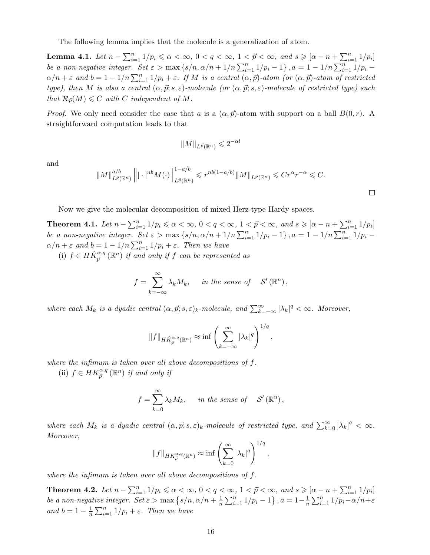The following lemma implies that the molecule is a generalization of atom.

Lemma 4.1. Let  $n - \sum_{i=1}^{n} 1/p_i \leqslant \alpha < \infty$ ,  $0 < q < \infty$ ,  $1 < \vec{p} < \infty$ , and  $s \geqslant [\alpha - n + \sum_{i=1}^{n} 1/p_i]$ be a non-negative integer. Set  $\varepsilon > \max\{s/n, \alpha/n + 1/n \sum_{i=1}^n 1/p_i - 1\}$ ,  $a = 1 - 1/n \sum_{i=1}^n 1/p_i$  $\alpha/n + \varepsilon$  and  $b = 1 - 1/n \sum_{i=1}^n 1/p_i + \varepsilon$ . If M is a central  $(\alpha, \vec{p})$ -atom (or  $(\alpha, \vec{p})$ -atom of restricted type), then M is also a central  $(\alpha, \vec{p}; s, \varepsilon)$ -molecule (or  $(\alpha, \vec{p}; s, \varepsilon)$ -molecule of restricted type) such that  $\mathcal{R}_{\vec{p}}(M) \leq C$  with C independent of M.

*Proof.* We only need consider the case that a is a  $(\alpha, \vec{p})$ -atom with support on a ball  $B(0, r)$ . A straightforward computation leads to that

$$
||M||_{L^{\vec{p}}(\mathbb{R}^n)} \leq 2^{-\alpha l}
$$

and

$$
||M||_{L^{\vec{p}}(\mathbb{R}^n)}^{a/b} || \cdot |^{nb} M(\cdot)||_{L^{\vec{p}}(\mathbb{R}^n)}^{1-a/b} \leqslant r^{nb(1-a/b)} ||M||_{L^{\vec{p}}(\mathbb{R}^n)} \leqslant Cr^{\alpha}r^{-\alpha} \leqslant C.
$$

 $\Box$ 

Now we give the molecular decomposition of mixed Herz-type Hardy spaces.

Theorem 4.1. Let  $n - \sum_{i=1}^{n} 1/p_i \le \alpha < \infty$ ,  $0 < q < \infty$ ,  $1 < \vec{p} < \infty$ , and  $s \ge [\alpha - n + \sum_{i=1}^{n} 1/p_i]$ be a non-negative integer. Set  $\varepsilon > \max\{s/n, \alpha/n + 1/n \sum_{i=1}^n 1/p_i - 1\}$ ,  $a = 1 - 1/n \sum_{i=1}^n 1/p_i$  $\alpha/n + \varepsilon$  and  $b = 1 - 1/n \sum_{i=1}^n 1/p_i + \varepsilon$ . Then we have (i)  $f \in H\dot{K}_{\vec{p}}^{\alpha,q}(\mathbb{R}^n)$  if and only if f can be represented as

$$
f = \sum_{k=-\infty}^{\infty} \lambda_k M_k, \quad in \ the \ sense \ of \quad \mathcal{S}'(\mathbb{R}^n),
$$

where each  $M_k$  is a dyadic central  $(\alpha, \vec{p}; s, \varepsilon)_k$ -molecule, and  $\sum_{k=-\infty}^{\infty} |\lambda_k|^q < \infty$ . Moreover,

$$
||f||_{HK_{\vec{p}}^{\alpha,q}(\mathbb{R}^n)} \approx \inf \left(\sum_{k=-\infty}^{\infty} |\lambda_k|^q\right)^{1/q},
$$

where the infimum is taken over all above decompositions of f.

(ii)  $f \in HK_{\vec{p}}^{\alpha,q}(\mathbb{R}^n)$  if and only if

$$
f = \sum_{k=0}^{\infty} \lambda_k M_k, \quad in the sense of \quad \mathcal{S}'(\mathbb{R}^n),
$$

where each  $M_k$  is a dyadic central  $(\alpha, \vec{p}; s, \varepsilon)_k$ -molecule of restricted type, and  $\sum_{k=0}^{\infty} |\lambda_k|^q < \infty$ . Moreover,

$$
||f||_{HK_{\vec{p}}^{\alpha,q}(\mathbb{R}^n)} \approx \inf \left(\sum_{k=0}^{\infty} |\lambda_k|^q\right)^{1/q},
$$

where the infimum is taken over all above decompositions of f.

**Theorem 4.2.** Let  $n - \sum_{i=1}^{n} 1/p_i \le \alpha < \infty$ ,  $0 < q < \infty$ ,  $1 < \vec{p} < \infty$ , and  $s \ge [\alpha - n + \sum_{i=1}^{n} 1/p_i]$ be a non-negative integer. Set  $\varepsilon > \max\left\{s/n, \alpha/n + \frac{1}{n}\right\}$  $\frac{1}{n}\sum_{i=1}^{n}1/p_i-1\}$ ,  $a=1-\frac{1}{n}$  $\frac{1}{n} \sum_{i=1}^{n} 1/p_i - \alpha/n + \varepsilon$ and  $b=1-\frac{1}{n}$  $\frac{1}{n}\sum_{i=1}^{n}1/p_i + \varepsilon$ . Then we have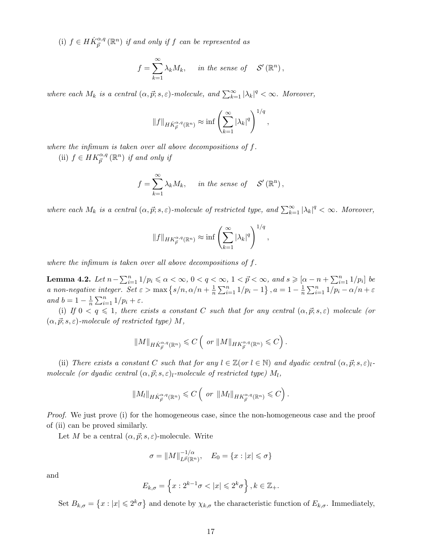(i)  $f \in H\dot{K}_{\vec{p}}^{\alpha,q}(\mathbb{R}^n)$  if and only if f can be represented as

$$
f = \sum_{k=1}^{\infty} \lambda_k M_k, \quad in the sense of \quad \mathcal{S}'(\mathbb{R}^n),
$$

where each  $M_k$  is a central  $(\alpha, \vec{p}; s, \varepsilon)$ -molecule, and  $\sum_{k=1}^{\infty} |\lambda_k|^q < \infty$ . Moreover,

$$
||f||_{H\dot{K}_{\vec{p}}^{\alpha,q}(\mathbb{R}^n)} \approx \inf \left(\sum_{k=1}^{\infty} |\lambda_k|^q\right)^{1/q},
$$

where the infimum is taken over all above decompositions of f.

(ii)  $f \in HK_{\vec{p}}^{\alpha,q}(\mathbb{R}^n)$  if and only if

$$
f = \sum_{k=1}^{\infty} \lambda_k M_k, \quad in the sense of \quad \mathcal{S}'(\mathbb{R}^n),
$$

where each  $M_k$  is a central  $(\alpha, \vec{p}; s, \varepsilon)$ -molecule of restricted type, and  $\sum_{k=1}^{\infty} |\lambda_k|^q < \infty$ . Moreover,

$$
||f||_{HK_{\vec{p}}^{\alpha,q}(\mathbb{R}^n)} \approx \inf \left( \sum_{k=1}^{\infty} |\lambda_k|^q \right)^{1/q},
$$

where the infimum is taken over all above decompositions of f.

Lemma 4.2. Let  $n - \sum_{i=1}^{n} 1/p_i \leqslant \alpha < \infty$ ,  $0 < q < \infty$ ,  $1 < \vec{p} < \infty$ , and  $s \geqslant [\alpha - n + \sum_{i=1}^{n} 1/p_i]$  be a non-negative integer. Set  $\varepsilon > \max\left\{s/n, \alpha/n + \frac{1}{n}\right\}$  $\frac{1}{n}\sum_{i=1}^{n}1/p_i-1\big\}, a=1-\frac{1}{n}$  $\frac{1}{n}\sum_{i=1}^n 1/p_i - \alpha/n + \varepsilon$ and  $b=1-\frac{1}{n}$  $\frac{1}{n}\sum_{i=1}^n 1/p_i + \varepsilon.$ 

(i) If  $0 < q \leq 1$ , there exists a constant C such that for any central  $(\alpha, \vec{p}; s, \epsilon)$  molecule (or  $(\alpha, \vec{p}; s, \varepsilon)$ -molecule of restricted type) M,

$$
||M||_{HK_{\vec{p}}^{\alpha,q}(\mathbb{R}^n)} \leqslant C\left(\text{ or }||M||_{HK_{\vec{p}}^{\alpha,q}(\mathbb{R}^n)} \leqslant C\right).
$$

(ii) There exists a constant C such that for any  $l \in \mathbb{Z}(or l \in \mathbb{N})$  and dyadic central  $(\alpha, \vec{p}; s, \varepsilon)_{l}$ molecule (or dyadic central  $(\alpha, \vec{p}; s, \varepsilon)_l$ -molecule of restricted type)  $M_l$ ,

$$
||M_l||_{HK_{\vec{p}}^{\alpha,q}(\mathbb{R}^n)} \leqslant C\left(\text{ or }||M_l||_{HK_{\vec{p}}^{\alpha,q}(\mathbb{R}^n)} \leqslant C\right).
$$

Proof. We just prove (i) for the homogeneous case, since the non-homogeneous case and the proof of (ii) can be proved similarly.

Let M be a central  $(\alpha, \vec{p}; s, \varepsilon)$ -molecule. Write

$$
\sigma = ||M||_{L^{\vec{p}}(\mathbb{R}^n)}^{-1/\alpha}, \quad E_0 = \{x : |x| \leq \sigma\}
$$

and

$$
E_{k,\sigma} = \left\{ x : 2^{k-1}\sigma < |x| \leqslant 2^k\sigma \right\}, k \in \mathbb{Z}_+.
$$

Set  $B_{k,\sigma} = \{x : |x| \leqslant 2^k \sigma\}$  and denote by  $\chi_{k,\sigma}$  the characteristic function of  $E_{k,\sigma}$ . Immediately,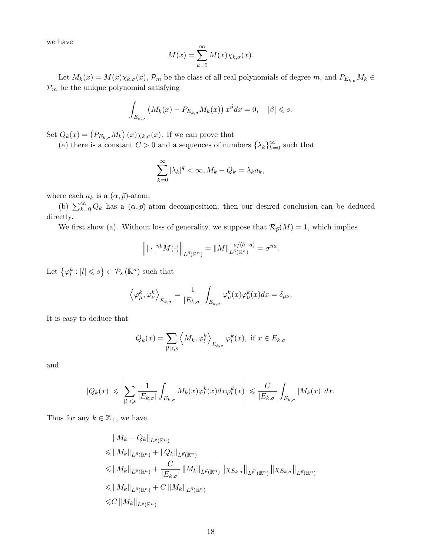we have

$$
M(x) = \sum_{k=0}^{\infty} M(x) \chi_{k,\sigma}(x).
$$

Let  $M_k(x) = M(x)\chi_{k,\sigma}(x)$ ,  $\mathcal{P}_m$  be the class of all real polynomials of degree  $m$ , and  $P_{E_{k,\sigma}}M_k \in$  $\mathcal{P}_m$  be the unique polynomial satisfying

$$
\int_{E_{k,\sigma}} \left( M_k(x) - P_{E_{k,\sigma}} M_k(x) \right) x^{\beta} dx = 0, \quad |\beta| \leq s.
$$

Set  $Q_k(x) = (P_{E_{k,\sigma}} M_k)(x) \chi_{k,\sigma}(x)$ . If we can prove that

(a) there is a constant  $C > 0$  and a sequences of numbers  $\{\lambda_k\}_{k=0}^{\infty}$  such that

$$
\sum_{k=0}^{\infty} |\lambda_k|^q < \infty, M_k - Q_k = \lambda_k a_k,
$$

where each  $a_k$  is a  $(\alpha, \vec{p})$ -atom;

(b)  $\sum_{k=0}^{\infty} Q_k$  has a  $(\alpha, \vec{p})$ -atom decomposition; then our desired conclusion can be deduced directly.

We first show (a). Without loss of generality, we suppose that  $\mathcal{R}_{\vec{p}}(M) = 1$ , which implies

$$
\left\| |\cdot|^{nb} M(\cdot) \right\|_{L^{\vec{p}}(\mathbb{R}^n)} = \|M\|_{L^{\vec{p}}(\mathbb{R}^n)}^{-a/(b-a)} = \sigma^{na}.
$$

Let  $\{\varphi_l^k : |l| \leqslant s\} \subset \mathcal{P}_s(\mathbb{R}^n)$  such that

$$
\left\langle \varphi^k_\mu,\varphi^k_\nu\right\rangle_{E_{k,\sigma}}=\frac{1}{|E_{k,\sigma}|}\int_{E_{k,\sigma}}\varphi^k_\mu(x)\varphi^k_\nu(x)dx=\delta_{\mu\nu}.
$$

It is easy to deduce that

$$
Q_k(x) = \sum_{|l| \leq s} \left\langle M_k, \varphi_l^k \right\rangle_{E_{k,\sigma}} \varphi_l^k(x), \text{ if } x \in E_{k,\sigma}
$$

and

$$
|Q_k(x)| \leqslant \left|\sum_{|l| \leqslant s} \frac{1}{|E_{k,\sigma}|} \int_{E_{k,\sigma}} M_k(x) \varphi_l^k(x) dx \varphi_l^k(x)\right| \leqslant \frac{C}{|E_{k,\sigma}|} \int_{E_{k,\sigma}} |M_k(x)| dx.
$$

Thus for any  $k \in \mathbb{Z}_+$ , we have

$$
\|M_{k} - Q_{k}\|_{L^{\vec{p}}(\mathbb{R}^{n})}
$$
  
\n
$$
\leq \|M_{k}\|_{L^{\vec{p}}(\mathbb{R}^{n})} + \|Q_{k}\|_{L^{\vec{p}}(\mathbb{R}^{n})}
$$
  
\n
$$
\leq \|M_{k}\|_{L^{\vec{p}}(\mathbb{R}^{n})} + \frac{C}{|E_{k,\sigma}|} \|M_{k}\|_{L^{\vec{p}}(\mathbb{R}^{n})} \| \chi_{E_{k,\sigma}}\|_{L^{\vec{p}'}(\mathbb{R}^{n})} \| \chi_{E_{k,\sigma}}\|_{L^{\vec{p}}(\mathbb{R}^{n})}
$$
  
\n
$$
\leq \|M_{k}\|_{L^{\vec{p}}(\mathbb{R}^{n})} + C \|M_{k}\|_{L^{\vec{p}}(\mathbb{R}^{n})}
$$
  
\n
$$
\leq C \|M_{k}\|_{L^{\vec{p}}(\mathbb{R}^{n})}
$$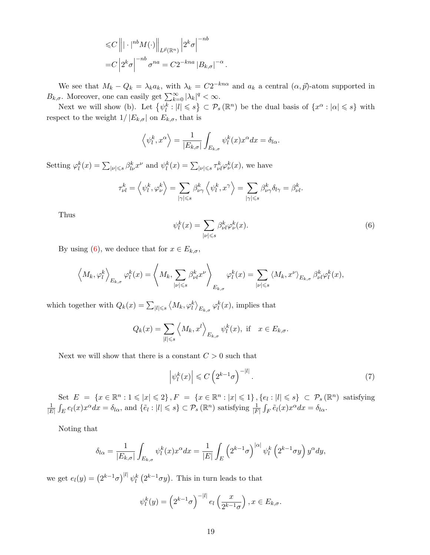$$
\leq C \left\| |\cdot|^{nb} M(\cdot) \right\|_{L^{\vec{p}}(\mathbb{R}^n)} \left| 2^k \sigma \right|^{-nb}
$$
  
= 
$$
C \left| 2^k \sigma \right|^{-nb} \sigma^{na} = C 2^{-kna} |B_{k,\sigma}|^{-\alpha}
$$

We see that  $M_k - Q_k = \lambda_k a_k$ , with  $\lambda_k = C2^{-kn\alpha}$  and  $a_k$  a central  $(\alpha, \vec{p})$ -atom supported in  $B_{k,\sigma}$ . Moreover, one can easily get  $\sum_{k=0}^{\infty} |\lambda_k|^q < \infty$ .

.

Next we will show (b). Let  $\{\psi_l^k: |l|\leqslant s\} \subset \mathcal{P}_s(\mathbb{R}^n)$  be the dual basis of  $\{x^\alpha: |\alpha|\leqslant s\}$  with respect to the weight  $1/|E_{k,\sigma}|$  on  $E_{k,\sigma}$ , that is

$$
\langle \psi_l^k, x^\alpha \rangle = \frac{1}{|E_{k,\sigma}|} \int_{E_{k,\sigma}} \psi_l^k(x) x^\alpha dx = \delta_{l\alpha}.
$$

Setting  $\varphi_l^k(x) = \sum_{|\nu| \leqslant s} \beta_{l\nu}^k x^{\nu}$  and  $\psi_l^k(x) = \sum_{|\nu| \leqslant s} \tau_{\nu l}^k \varphi_{\nu}^k(x)$ , we have

$$
\tau_{\nu l}^k = \left\langle \psi_l^k, \varphi_\nu^k \right\rangle = \sum_{|\gamma| \leqslant s} \beta_{\nu \gamma}^k \left\langle \psi_l^k, x^\gamma \right\rangle = \sum_{|\gamma| \leqslant s} \beta_{\nu \gamma}^k \delta_{l \gamma} = \beta_{\nu l}^k.
$$

Thus

<span id="page-18-0"></span>
$$
\psi_l^k(x) = \sum_{|\nu| \le s} \beta_{\nu l}^k \varphi_{\nu}^k(x). \tag{6}
$$

By using [\(6\)](#page-18-0), we deduce that for  $x \in E_{k,\sigma}$ ,

$$
\left\langle M_k, \varphi_l^k \right\rangle_{E_{k,\sigma}} \varphi_l^k(x) = \left\langle M_k, \sum_{|\nu| \leqslant s} \beta_{\nu l}^k x^{\nu} \right\rangle_{E_{k,\sigma}} \varphi_l^k(x) = \sum_{|\nu| \leqslant s} \left\langle M_k, x^{\nu} \right\rangle_{E_{k,\sigma}} \beta_{\nu l}^k \varphi_l^k(x),
$$

which together with  $Q_k(x) = \sum_{|l| \leqslant s} \langle M_k, \varphi_l^k \rangle_{E_{k,\sigma}} \varphi_l^k(x)$ , implies that

$$
Q_k(x) = \sum_{|l| \leq s} \left\langle M_k, x^l \right\rangle_{E_{k,\sigma}} \psi_l^k(x), \text{ if } x \in E_{k,\sigma}.
$$

Next we will show that there is a constant  $C>0$  such that

<span id="page-18-1"></span>
$$
\left|\psi_l^k(x)\right| \leqslant C\left(2^{k-1}\sigma\right)^{-|l|}.\tag{7}
$$

Set  $E = \{x \in \mathbb{R}^n : 1 \leqslant |x| \leqslant 2\}, F = \{x \in \mathbb{R}^n : |x| \leqslant 1\}, \{e_i : |l| \leqslant s\} \subset \mathcal{P}_s(\mathbb{R}^n)$  satisfying 1  $\frac{1}{|E|}\int_E e_l(x)x^{\alpha}dx = \delta_{l\alpha}$ , and  $\{\tilde{e}_l : |l| \leqslant s\} \subset \mathcal{P}_s(\mathbb{R}^n)$  satisfying  $\frac{1}{|F|}\int_F \tilde{e}_l(x)x^{\alpha}dx = \delta_{l\alpha}$ .

Noting that

$$
\delta_{l\alpha} = \frac{1}{|E_{k,\sigma}|} \int_{E_{k,\sigma}} \psi_l^k(x) x^{\alpha} dx = \frac{1}{|E|} \int_E \left(2^{k-1}\sigma\right)^{|\alpha|} \psi_l^k\left(2^{k-1}\sigma y\right) y^{\alpha} dy,
$$

we get  $e_l(y) = (2^{k-1}\sigma)^{|l|} \psi_l^k(2^{k-1}\sigma y)$ . This in turn leads to that

$$
\psi_l^k(y) = \left(2^{k-1}\sigma\right)^{-|l|} e_l\left(\frac{x}{2^{k-1}\sigma}\right), x \in E_{k,\sigma}.
$$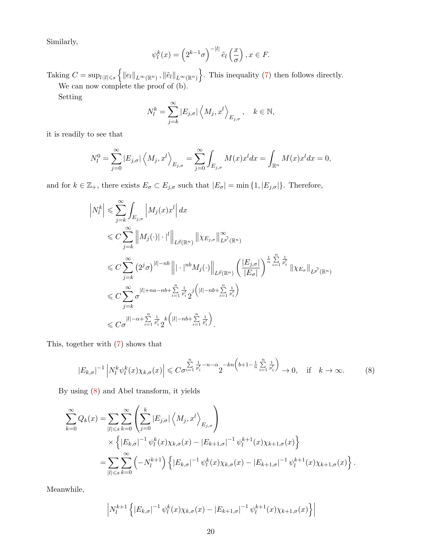Similarly,

$$
\psi_l^k(x) = \left(2^{k-1}\sigma\right)^{-|l|} \tilde{e}_l\left(\frac{x}{\sigma}\right), x \in F.
$$

Taking  $C = \sup_{l:|l| \leq s} \{ ||e_l||_{L^{\infty}(\mathbb{R}^n)}, ||\tilde{e}_l||_{L^{\infty}(\mathbb{R}^n)} \}$ . This inequality [\(7\)](#page-18-1) then follows directly. We can now complete the proof of (b).

Setting

$$
N_l^k = \sum_{j=k}^{\infty} |E_{j,\sigma}| \left\langle M_j, x^l \right\rangle_{E_{j,\sigma}}, \quad k \in \mathbb{N},
$$

it is readily to see that

$$
N_l^0 = \sum_{j=0}^{\infty} |E_{j,\sigma}| \left\langle M_j, x^l \right\rangle_{E_{j,\sigma}} = \sum_{j=0}^{\infty} \int_{E_{j,\sigma}} M(x) x^l dx = \int_{\mathbb{R}^n} M(x) x^l dx = 0,
$$

and for  $k \in \mathbb{Z}_+$ , there exists  $E_{\sigma} \subset E_{j,\sigma}$  such that  $|E_{\sigma}| = \min\{1, |E_{j,\sigma}|\}\.$  Therefore,

$$
\left| N_l^k \right| \leqslant \sum_{j=k}^{\infty} \int_{E_{j,\sigma}} \left| M_j(x) x^l \right| dx
$$
  
\n
$$
\leqslant C \sum_{j=k}^{\infty} \left\| M_j(\cdot) \right| \cdot \left| \left| \right|_{L^{\vec{p}}(\mathbb{R}^n)} \left\| \chi_{E_{j,\sigma}} \right\|_{L^{\vec{p}'}(\mathbb{R}^n)}^{\infty}
$$
  
\n
$$
\leqslant C \sum_{j=k}^{\infty} \left( 2^j \sigma \right)^{|l|-nb} \left\| |\cdot|^{nb} M_j(\cdot) \right\|_{L^{\vec{p}}(\mathbb{R}^n)} \left( \frac{|E_{j,\sigma}|}{|E_{\sigma}|} \right)^{\frac{1}{n} \sum\limits_{i=1}^n \frac{1}{p'_i}} \left\| \chi_{E_{\sigma}} \right\|_{L^{\vec{p}'}(\mathbb{R}^n)} \right)
$$
  
\n
$$
\leqslant C \sum_{j=k}^{\infty} \sigma^{|l|+na-nb+\sum\limits_{i=1}^n \frac{1}{p'_i} 2^j \left( |l|-nb+\sum\limits_{i=1}^n \frac{1}{p'_i} \right)}
$$
  
\n
$$
\leqslant C \sigma^{|l|-\alpha+\sum\limits_{i=1}^n \frac{1}{p'_i} 2^k \left( |l|-nb+\sum\limits_{i=1}^n \frac{1}{p'_i} \right)}.
$$

This, together with [\(7\)](#page-18-1) shows that

<span id="page-19-0"></span>
$$
|E_{k,\sigma}|^{-1}\left|N_l^k\psi_l^k(x)\chi_{k,\sigma}(x)\right| \leqslant C\sigma^{\frac{n}{i-1}\frac{1}{p_i}-n-\alpha}2^{-kn\left(b+1-\frac{1}{n}\sum\limits_{i=1}^n\frac{1}{p_i'}\right)}\to 0, \quad \text{if} \quad k\to\infty. \tag{8}
$$

By using [\(8\)](#page-19-0) and Abel transform, it yields

$$
\sum_{k=0}^{\infty} Q_k(x) = \sum_{|l| \leqslant s} \sum_{k=0}^{\infty} \left( \sum_{j=0}^{k} |E_{j,\sigma}| \left\langle M_j, x^l \right\rangle_{E_{j,\sigma}} \right)
$$
  
 
$$
\times \left\{ |E_{k,\sigma}|^{-1} \psi_l^k(x) \chi_{k,\sigma}(x) - |E_{k+1,\sigma}|^{-1} \psi_l^{k+1}(x) \chi_{k+1,\sigma}(x) \right\}
$$
  

$$
= \sum_{|l| \leqslant s} \sum_{k=0}^{\infty} \left( -N_l^{k+1} \right) \left\{ |E_{k,\sigma}|^{-1} \psi_l^k(x) \chi_{k,\sigma}(x) - |E_{k+1,\sigma}|^{-1} \psi_l^{k+1}(x) \chi_{k+1,\sigma}(x) \right\}.
$$

Meanwhile,

$$
\left| N_l^{k+1} \left\{ |E_{k,\sigma}|^{-1} \psi_l^k(x) \chi_{k,\sigma}(x) - |E_{k+1,\sigma}|^{-1} \psi_l^{k+1}(x) \chi_{k+1,\sigma}(x) \right\} \right|
$$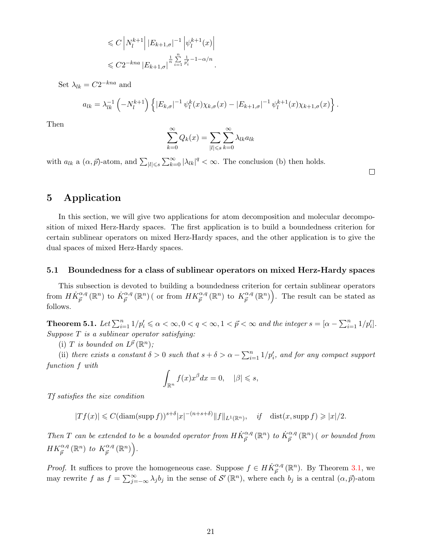$$
\leq C \left| N_l^{k+1} \right| |E_{k+1,\sigma}|^{-1} \left| \psi_l^{k+1}(x) \right|
$$
  

$$
\leq C 2^{-kna} |E_{k+1,\sigma}|^{\frac{1}{n} \sum_{i=1}^n \frac{1}{p_i'} - 1 - \alpha/n}.
$$

Set  $\lambda_{lk} = C2^{-kna}$  and

$$
a_{lk} = \lambda_{lk}^{-1} \left( -N_l^{k+1} \right) \left\{ |E_{k,\sigma}|^{-1} \psi_l^k(x) \chi_{k,\sigma}(x) - |E_{k+1,\sigma}|^{-1} \psi_l^{k+1}(x) \chi_{k+1,\sigma}(x) \right\}.
$$

Then

$$
\sum_{k=0}^{\infty} Q_k(x) = \sum_{|l| \leqslant s} \sum_{k=0}^{\infty} \lambda_{lk} a_{lk}
$$

with  $a_{lk}$  a  $(\alpha, \vec{p})$ -atom, and  $\sum_{|l| \leq s} \sum_{k=0}^{\infty} |\lambda_{lk}|^q < \infty$ . The conclusion (b) then holds.

 $\Box$ 

## 5 Application

In this section, we will give two applications for atom decomposition and molecular decomposition of mixed Herz-Hardy spaces. The first application is to build a boundedness criterion for certain sublinear operators on mixed Herz-Hardy spaces, and the other application is to give the dual spaces of mixed Herz-Hardy spaces.

#### 5.1 Boundedness for a class of sublinear operators on mixed Herz-Hardy spaces

This subsection is devoted to building a boundedness criterion for certain sublinear operators from  $H\dot{K}_{\vec{p}}^{\alpha,q}(\mathbb{R}^n)$  to  $\dot{K}_{\vec{p}}^{\alpha,q}(\mathbb{R}^n)$  ( or from  $HK_{\vec{p}}^{\alpha,q}(\mathbb{R}^n)$  to  $K_{\vec{p}}^{\alpha,q}$  $\left( \mathbb{R}^{n} \right)$ . The result can be stated as follows.

<span id="page-20-0"></span>**Theorem 5.1.** Let  $\sum_{i=1}^{n} 1/p_i' \le \alpha < \infty, 0 < q < \infty, 1 < \vec{p} < \infty$  and the integer  $s = [\alpha - \sum_{i=1}^{n} 1/p_i']$ .  $Suppose T is a sublinear operator satisfying:$ 

(i) T is bounded on  $L^{\vec{p}}(\mathbb{R}^n)$ ;

(ii) there exists a constant  $\delta > 0$  such that  $s + \delta > \alpha - \sum_{i=1}^{n} 1/p'_i$ , and for any compact support function f with

$$
\int_{\mathbb{R}^n} f(x)x^{\beta} dx = 0, \quad |\beta| \leq s,
$$

Tf satisfies the size condition

 $|Tf(x)| \leqslant C(\text{diam}(\text{supp } f))^{s+\delta} |x|^{-(n+s+\delta)} \|f\|_{L^1(\mathbb{R}^n)}, \quad \text{if} \quad \text{dist}(x, \text{supp } f) \geqslant |x|/2.$ 

Then T can be extended to be a bounded operator from  $H\dot{K}_{\vec{p}}^{\alpha,q}(\mathbb{R}^n)$  to  $\dot{K}_{\vec{p}}^{\alpha,q}(\mathbb{R}^n)$  ( or bounded from  $HK_{\vec{p}}^{\alpha,q}(\mathbb{R}^n)$  to  $K_{\vec{p}}^{\alpha,q}$  $\frac{\alpha,q}{\vec{p}}\left(\mathbb{R}^n\right)\Big).$ 

*Proof.* It suffices to prove the homogeneous case. Suppose  $f \in H\dot{K}_{\vec{p}}^{\alpha,q}(\mathbb{R}^n)$ . By Theorem [3.1,](#page-7-0) we may rewrite f as  $f = \sum_{j=-\infty}^{\infty} \lambda_j b_j$  in the sense of  $\mathcal{S}'(\mathbb{R}^n)$ , where each  $b_j$  is a central  $(\alpha, \vec{p})$ -atom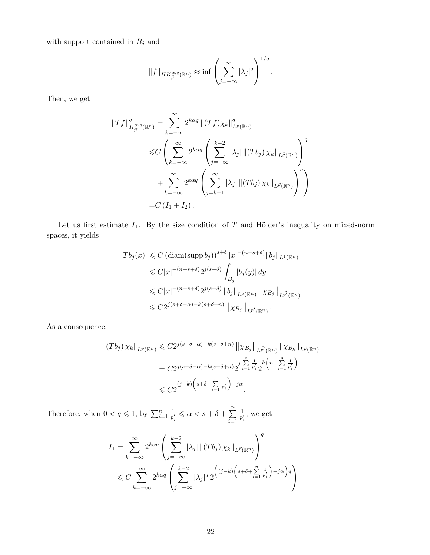with support contained in  $\mathcal{B}_j$  and

$$
||f||_{HK_p^{\alpha,q}(\mathbb{R}^n)} \approx \inf \left(\sum_{j=-\infty}^{\infty} |\lambda_j|^q\right)^{1/q}.
$$

Then, we get

$$
\begin{split} \|Tf\|_{\dot{K}_{\vec{p}}^{\alpha,q}(\mathbb{R}^n)}^q &= \sum_{k=-\infty}^{\infty} 2^{k\alpha q} \left\| (Tf)\chi_k \right\|_{L^{\vec{p}}(\mathbb{R}^n)}^q \\ &\leqslant C \left( \sum_{k=-\infty}^{\infty} 2^{k\alpha q} \left( \sum_{j=-\infty}^{k-2} |\lambda_j| \left\| (Tb_j)\chi_k \right\|_{L^{\vec{p}}(\mathbb{R}^n)} \right)^q \right. \\ &\left. + \sum_{k=-\infty}^{\infty} 2^{k\alpha q} \left( \sum_{j=k-1}^{\infty} |\lambda_j| \left\| (Tb_j)\chi_k \right\|_{L^{\vec{p}}(\mathbb{R}^n)} \right)^q \right) \\ &= C \left( I_1 + I_2 \right). \end{split}
$$

Let us first estimate  $I_1$ . By the size condition of T and Hölder's inequality on mixed-norm spaces, it yields

$$
|Tb_j(x)| \leq C \left(\operatorname{diam}(\operatorname{supp} b_j)\right)^{s+\delta} |x|^{-(n+s+\delta)} \|b_j\|_{L^1(\mathbb{R}^n)}
$$
  
\n
$$
\leq C|x|^{-(n+s+\delta)} 2^{j(s+\delta)} \int_{B_j} |b_j(y)| dy
$$
  
\n
$$
\leq C|x|^{-(n+s+\delta)} 2^{j(s+\delta)} \|b_j\|_{L^{\vec{p}}(\mathbb{R}^n)} \| \chi_{B_j}\|_{L^{\vec{p}'}(\mathbb{R}^n)}
$$
  
\n
$$
\leq C 2^{j(s+\delta-\alpha)-k(s+\delta+n)} \| \chi_{B_j}\|_{L^{\vec{p}'}(\mathbb{R}^n)}.
$$

As a consequence,

$$
\begin{split} \left\| (Tb_j) \, \chi_k \right\|_{L^{\vec{p}}(\mathbb{R}^n)} &\leq C 2^{j(s+\delta-\alpha)-k(s+\delta+n)} \left\| \chi_{B_j} \right\|_{L^{\vec{p}'}(\mathbb{R}^n)} \left\| \chi_{B_k} \right\|_{L^{\vec{p}}(\mathbb{R}^n)} \\ &= C 2^{j(s+\delta-\alpha)-k(s+\delta+n)} 2^{j} \sum_{i=1}^n \frac{1}{p_i'} k^{j(s-\sum_{i=1}^n \frac{1}{p_i'})} \\ &\leq C 2^{(j-k) \left(s+\delta+\sum_{i=1}^n \frac{1}{p_i'}\right) - j\alpha} .\end{split}
$$

Therefore, when  $0 < q \leq 1$ , by  $\sum_{i=1}^{n} \frac{1}{p_i^j}$  $\frac{1}{p'_i} \leq \alpha < s + \delta + \sum_{i=1}^n$  $i=1$ 1  $\frac{1}{p'_i}$ , we get

$$
I_1 = \sum_{k=-\infty}^{\infty} 2^{k\alpha q} \left( \sum_{j=-\infty}^{k-2} |\lambda_j| \| (Tb_j) \chi_k \|_{L^{\vec{p}}(\mathbb{R}^n)} \right)^q
$$
  
\$\leq C \sum\_{k=-\infty}^{\infty} 2^{k\alpha q} \left( \sum\_{j=-\infty}^{k-2} |\lambda\_j|^q 2^{((j-k)\left(s+\delta+\sum\_{i=1}^n \frac{1}{p'\_i}\right)-j\alpha\right)q} \right)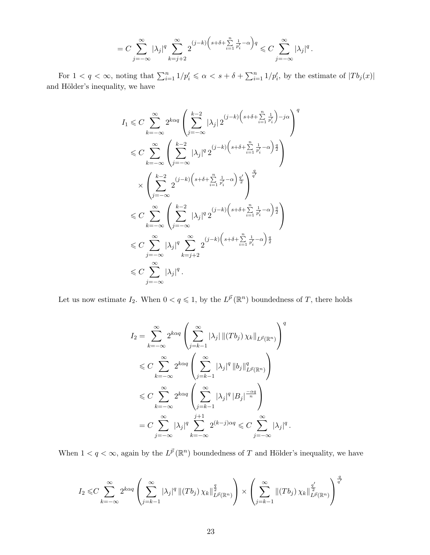$$
=C\sum_{j=-\infty}^{\infty}|\lambda_j|^q\sum_{k=j+2}^{\infty}2^{(j-k)\left(s+\delta+\sum\limits_{i=1}^{n}\frac{1}{p'_i}-\alpha\right)q}\leqslant C\sum_{j=-\infty}^{\infty}|\lambda_j|^q\,.
$$

For  $1 < q < \infty$ , noting that  $\sum_{i=1}^n 1/p'_i \leq \alpha < s + \delta + \sum_{i=1}^n 1/p'_i$ , by the estimate of  $|Tb_j(x)|$ and Hölder's inequality, we have

$$
I_1 \leqslant C \sum_{k=-\infty}^{\infty} 2^{k\alpha q} \left( \sum_{j=-\infty}^{k-2} |\lambda_j| 2^{(j-k)\left(s+\delta+\sum\limits_{i=1}^{n} \frac{1}{p'_i}\right)-j\alpha} \right)^q
$$
  

$$
\leqslant C \sum_{k=-\infty}^{\infty} \left( \sum_{j=-\infty}^{k-2} |\lambda_j|^q 2^{(j-k)\left(s+\delta+\sum\limits_{i=1}^{n} \frac{1}{p'_i}-\alpha\right)\frac{q}{2}} \right)
$$
  

$$
\times \left( \sum_{j=-\infty}^{k-2} 2^{(j-k)\left(s+\delta+\sum\limits_{i=1}^{n} \frac{1}{p'_i}-\alpha\right)\frac{q'}{2}} \right)^{\frac{q}{q'}}
$$
  

$$
\leqslant C \sum_{k=-\infty}^{\infty} \left( \sum_{j=-\infty}^{k-2} |\lambda_j|^q 2^{(j-k)\left(s+\delta+\sum\limits_{i=1}^{n} \frac{1}{p'_i}-\alpha\right)\frac{q}{2}} \right)
$$
  

$$
\leqslant C \sum_{j=-\infty}^{\infty} |\lambda_j|^q \sum_{k=j+2}^{\infty} 2^{(j-k)\left(s+\delta+\sum\limits_{i=1}^{n} \frac{1}{p'_i}-\alpha\right)\frac{q}{2}}
$$
  

$$
\leqslant C \sum_{j=-\infty}^{\infty} |\lambda_j|^q.
$$

Let us now estimate  $I_2$ . When  $0 < q \leqslant 1$ , by the  $L^{\vec{p}}(\mathbb{R}^n)$  boundedness of T, there holds

$$
I_2 = \sum_{k=-\infty}^{\infty} 2^{k\alpha q} \left( \sum_{j=k-1}^{\infty} |\lambda_j| \| (Tb_j) \chi_k \|_{L^{\vec{p}}(\mathbb{R}^n)} \right)^q
$$
  

$$
\leq C \sum_{k=-\infty}^{\infty} 2^{k\alpha q} \left( \sum_{j=k-1}^{\infty} |\lambda_j|^q \|b_j\|_{L^{\vec{p}}(\mathbb{R}^n)}^q \right)
$$
  

$$
\leq C \sum_{k=-\infty}^{\infty} 2^{k\alpha q} \left( \sum_{j=k-1}^{\infty} |\lambda_j|^q |B_j|^{-\frac{\alpha q}{n}} \right)
$$
  

$$
= C \sum_{j=-\infty}^{\infty} |\lambda_j|^q \sum_{k=-\infty}^{j+1} 2^{(k-j)\alpha q} \leq C \sum_{j=-\infty}^{\infty} |\lambda_j|^q.
$$

When  $1 < q < \infty$ , again by the  $L^{\vec{p}}(\mathbb{R}^n)$  boundedness of T and Hölder's inequality, we have

$$
I_2 \leq C \sum_{k=-\infty}^{\infty} 2^{k\alpha q} \left( \sum_{j=k-1}^{\infty} |\lambda_j|^q \left\| (Tb_j) \chi_k \right\|_{L^{\vec{p}}(\mathbb{R}^n)}^{\frac{q}{2}} \right) \times \left( \sum_{j=k-1}^{\infty} \left\| (Tb_j) \chi_k \right\|_{L^{\vec{p}}(\mathbb{R}^n)}^{\frac{q'}{q'}} \right)^{\frac{q}{q'}}
$$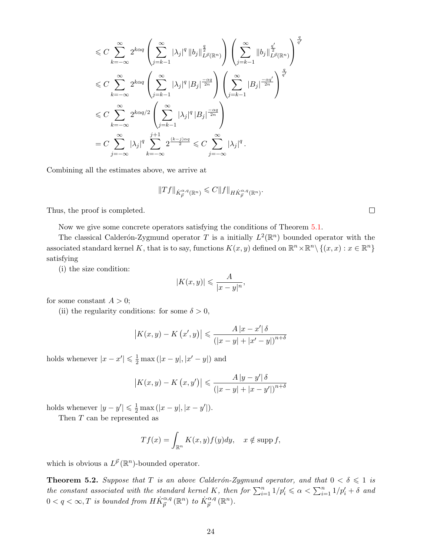$$
\leq C \sum_{k=-\infty}^{\infty} 2^{k\alpha q} \left( \sum_{j=k-1}^{\infty} |\lambda_j|^q \left\| b_j \right\|_{L^{\vec{p}}(\mathbb{R}^n)}^{\frac{q}{2}} \right) \left( \sum_{j=k-1}^{\infty} \left\| b_j \right\|_{L^{\vec{p}}(\mathbb{R}^n)}^{\frac{q'}{2}} \right)^{\frac{q'}{q'}} \leq C \sum_{k=-\infty}^{\infty} 2^{k\alpha q} \left( \sum_{j=k-1}^{\infty} |\lambda_j|^q |B_j|^{\frac{-\alpha q}{2n}} \right) \left( \sum_{j=k-1}^{\infty} |B_j|^{\frac{-\alpha q'}{2n}} \right)^{\frac{q}{q'}} \leq C \sum_{k=-\infty}^{\infty} 2^{k\alpha q/2} \left( \sum_{j=k-1}^{\infty} |\lambda_j|^q |B_j|^{\frac{-\alpha q}{2n}} \right) \leq C \sum_{j=-\infty}^{\infty} |\lambda_j|^q \sum_{k=-\infty}^{j+1} 2^{\frac{(k-j)\alpha q}{2}} \leq C \sum_{j=-\infty}^{\infty} |\lambda_j|^q.
$$

Combining all the estimates above, we arrive at

$$
||Tf||_{\dot{K}_{\vec{p}}^{\alpha,q}(\mathbb{R}^n)} \leqslant C||f||_{H\dot{K}_{\vec{p}}^{\alpha,q}(\mathbb{R}^n)}.
$$

Thus, the proof is completed.

Now we give some concrete operators satisfying the conditions of Theorem [5.1.](#page-20-0)

The classical Calderón-Zygmund operator T is a initially  $L^2(\mathbb{R}^n)$  bounded operator with the associated standard kernel K, that is to say, functions  $K(x, y)$  defined on  $\mathbb{R}^n \times \mathbb{R}^n \setminus \{(x, x) : x \in \mathbb{R}^n\}$ satisfying

(i) the size condition:

$$
|K(x,y)| \leqslant \frac{A}{|x-y|^n},
$$

for some constant  $A > 0$ ;

(ii) the regularity conditions: for some  $\delta > 0$ ,

$$
|K(x, y) - K(x', y)| \le \frac{A |x - x'| \delta}{(|x - y| + |x' - y|)^{n + \delta}}
$$

holds whenever  $|x - x'| \leq \frac{1}{2} \max(|x - y|, |x' - y|)$  and

$$
\left| K(x,y) - K\left(x,y'\right) \right| \leq \frac{A\left| y - y' \right| \delta}{\left( \left| x - y \right| + \left| x - y' \right| \right)^{n+\delta}}
$$

holds whenever  $|y - y'| \leq \frac{1}{2} \max(|x - y|, |x - y'|)$ .

Then  $T$  can be represented as

$$
Tf(x) = \int_{\mathbb{R}^n} K(x, y) f(y) dy, \quad x \notin \text{supp } f,
$$

which is obvious a  $L^{\vec{p}}(\mathbb{R}^n)$ -bounded operator.

**Theorem 5.2.** Suppose that T is an above Calderón-Zygmund operator, and that  $0 < \delta \leq 1$  is the constant associated with the standard kernel K, then for  $\sum_{i=1}^{n} 1/p'_i \le \alpha < \sum_{i=1}^{n} 1/p'_i + \delta$  and  $0 < q < \infty, T$  is bounded from  $H\dot{K}_{\vec{p}}^{\alpha,q}(\mathbb{R}^n)$  to  $\dot{K}_{\vec{p}}^{\alpha,q}(\mathbb{R}^n)$ .

 $\Box$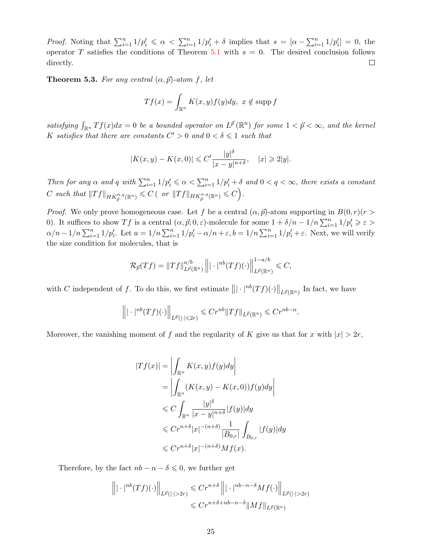*Proof.* Noting that  $\sum_{i=1}^{n} 1/p'_i \le \alpha < \sum_{i=1}^{n} 1/p'_i + \delta$  implies that  $s = [\alpha - \sum_{i=1}^{n} 1/p'_i] = 0$ , the operator T satisfies the conditions of Theorem [5.1](#page-20-0) with  $s = 0$ . The desired conclusion follows directly.  $\Box$ 

**Theorem 5.3.** For any central  $(\alpha, \vec{p})$ -atom f, let

$$
Tf(x) = \int_{\mathbb{R}^n} K(x, y) f(y) dy, \ x \notin \text{supp } f
$$

satisfying  $\int_{\mathbb{R}^n} Tf(x)dx = 0$  be a bounded operator on  $L^{\vec{p}}(\mathbb{R}^n)$  for some  $1 < \vec{p} < \infty$ , and the kernel K satisfies that there are constants  $C' > 0$  and  $0 < \delta \leq 1$  such that

$$
|K(x, y) - K(x, 0)| \leq C' \frac{|y|^{\delta}}{|x - y|^{n + \delta}}, \quad |x| \geq 2|y|.
$$

Then for any  $\alpha$  and  $q$  with  $\sum_{i=1}^{n} 1/p'_i \leq \alpha < \sum_{i=1}^{n} 1/p'_i + \delta$  and  $0 < q < \infty$ , there exists a constant  $C \text{ such that } ||Tf||_{H\dot{K}^{\alpha,q}_{\vec{p}}(\mathbb{R}^n)} \leqslant C \left( \text{ or } ||Tf||_{HK^{\alpha,q}_{\vec{p}}(\mathbb{R}^n)} \leqslant C \right).$ 

*Proof.* We only prove homogeneous case. Let f be a central  $(\alpha, \vec{p})$ -atom supporting in  $B(0, r)(r >$ 0). It suffices to show Tf is a central  $(\alpha, \vec{p}; 0, \varepsilon)$ -molecule for some  $1 + \delta/n - 1/n \sum_{i=1}^{n} 1/p_i' \geq \varepsilon$  $\alpha/n-1/n\sum_{i=1}^n 1/p_i'$ . Let  $a=1/n\sum_{i=1}^n 1/p_i'-\alpha/n+\varepsilon$ ,  $b=1/n\sum_{i=1}^n 1/p_i'+\varepsilon$ . Next, we will verify the size condition for molecules, that is

$$
\mathcal{R}_{\vec{p}}(Tf) = \|Tf\|_{L^{\vec{p}}(\mathbb{R}^n)}^{a/b} \left\| |\cdot|^{nb}(Tf)(\cdot) \right\|_{L^{\vec{p}}(\mathbb{R}^n)}^{1-a/b} \leqslant C,
$$

with C independent of f. To do this, we first estimate  $\left\| |\cdot|^{nb}(Tf)(\cdot) \right\|_{L^{\vec{p}}(\mathbb{R}^n)}$  In fact, we have

$$
\left\| |\cdot|^{nb}(Tf)(\cdot) \right\|_{L^{\vec{p}}(|\cdot| \leqslant 2r)} \leqslant Cr^{nb} \|Tf\|_{L^{\vec{p}}(\mathbb{R}^n)} \leqslant Cr^{nb-\alpha}.
$$

Moreover, the vanishing moment of f and the regularity of K give us that for x with  $|x| > 2r$ ,

$$
|Tf(x)| = \left| \int_{\mathbb{R}^n} K(x, y) f(y) dy \right|
$$
  
\n
$$
= \left| \int_{\mathbb{R}^n} (K(x, y) - K(x, 0)) f(y) dy \right|
$$
  
\n
$$
\leq C \int_{\mathbb{R}^n} \frac{|y|^\delta}{|x - y|^{n + \delta}} |f(y)| dy
$$
  
\n
$$
\leq C r^{n + \delta} |x|^{-(n + \delta)} \frac{1}{|B_{0,r}|} \int_{B_{0,r}} |f(y)| dy
$$
  
\n
$$
\leq C r^{n + \delta} |x|^{-(n + \delta)} M f(x).
$$

Therefore, by the fact  $nb - n - \delta \leq 0$ , we further get

$$
\left\| |\cdot|^{nb}(Tf)(\cdot) \right\|_{L^{\vec{p}}(|\cdot|>2r)} \leqslant Cr^{n+\delta} \left\| |\cdot|^{nb-n-\delta} Mf(\cdot) \right\|_{L^{\vec{p}}(|\cdot|>2r)}
$$
  

$$
\leqslant Cr^{n+\delta+nb-n-\delta} \|Mf\|_{L^{\vec{p}}(\mathbb{R}^n)}
$$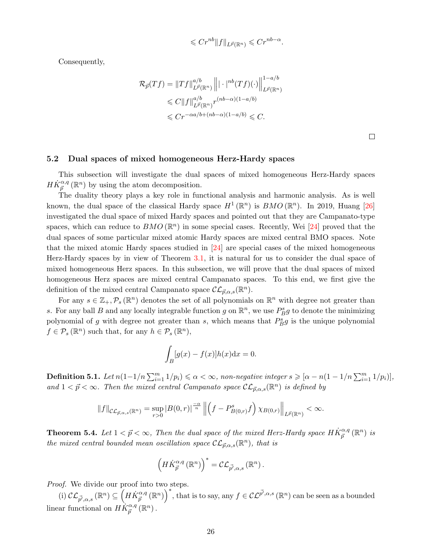$$
\leqslant C r^{nb} \|f\|_{L^{\vec{p}}(\mathbb{R}^n)} \leqslant C r^{nb-\alpha}
$$

.

Consequently,

$$
\mathcal{R}_{\vec{p}}(Tf) = ||Tf||_{L^{\vec{p}}(\mathbb{R}^n)}^{a/b} ||| \cdot |^{nb}(Tf)(\cdot)||_{L^{\vec{p}}(\mathbb{R}^n)}^{1-a/b}
$$
  
\$\leq C ||f||\_{L^{\vec{p}}(\mathbb{R}^n)}^{a/b} r^{(nb-\alpha)(1-a/b)}  
\$\leq Cr^{-\alpha a/b + (nb-\alpha)(1-a/b)} \leq C.

 $\Box$ 

#### 5.2 Dual spaces of mixed homogeneous Herz-Hardy spaces

This subsection will investigate the dual spaces of mixed homogeneous Herz-Hardy spaces  $H\dot{K}_{\vec{p}}^{\alpha,q}(\mathbb{R}^n)$  by using the atom decomposition.

The duality theory plays a key role in functional analysis and harmonic analysis. As is well known, the dual space of the classical Hardy space  $H^1(\mathbb{R}^n)$  is  $BMO(\mathbb{R}^n)$ . In 2019, Huang [\[26\]](#page-29-14) investigated the dual space of mixed Hardy spaces and pointed out that they are Campanato-type spaces, which can reduce to  $BMO(\mathbb{R}^n)$  in some special cases. Recently, Wei [\[24\]](#page-29-12) proved that the dual spaces of some particular mixed atomic Hardy spaces are mixed central BMO spaces. Note that the mixed atomic Hardy spaces studied in [\[24\]](#page-29-12) are special cases of the mixed homogeneous Herz-Hardy spaces by in view of Theorem [3.1,](#page-7-0) it is natural for us to consider the dual space of mixed homogeneous Herz spaces. In this subsection, we will prove that the dual spaces of mixed homogeneous Herz spaces are mixed central Campanato spaces. To this end, we first give the definition of the mixed central Campanato space  $\mathcal{CL}_{\vec{p},\alpha,s}(\mathbb{R}^n)$ .

For any  $s \in \mathbb{Z}_+$ ,  $\mathcal{P}_s(\mathbb{R}^n)$  denotes the set of all polynomials on  $\mathbb{R}^n$  with degree not greater than s. For any ball B and any locally integrable function g on  $\mathbb{R}^n$ , we use  $P_B^s g$  to denote the minimizing polynomial of g with degree not greater than s, which means that  $P_B^s g$  is the unique polynomial  $f \in \mathcal{P}_s(\mathbb{R}^n)$  such that, for any  $h \in \mathcal{P}_s(\mathbb{R}^n)$ ,

$$
\int_B [g(x) - f(x)]h(x) \mathrm{d}x = 0.
$$

**Definition 5.1.** Let  $n(1-1/n\sum_{i=1}^{m}1/p_i) \le \alpha < \infty$ , non-negative integer  $s \ge [\alpha - n(1-1/n\sum_{i=1}^{m}1/p_i)],$ and  $1 < \vec{p} < \infty$ . Then the mixed central Campanato space  $CL_{\vec{p},\alpha,s}(\mathbb{R}^n)$  is defined by

$$
||f||_{\mathcal{CL}_{\vec{p},\alpha,s}(\mathbb{R}^n)} = \sup_{r>0} |B(0,r)|^{\frac{-\alpha}{n}} \left\| \left(f - P_{B(0,r)}^s f\right) \chi_{B(0,r)} \right\|_{L^{\vec{p}}(\mathbb{R}^n)} < \infty.
$$

**Theorem 5.4.** Let  $1 < \vec{p} < \infty$ , Then the dual space of the mixed Herz-Hardy space  $H\dot{K}_{\vec{p}}^{\alpha,q}(\mathbb{R}^n)$  is the mixed central bounded mean oscillation space  $\mathcal{CL}_{\vec{p},\alpha,s}(\mathbb{R}^n)$ , that is

$$
\left(H\dot{K}_{\vec{p}}^{\alpha,q}\left(\mathbb{R}^n\right)\right)^*=\mathcal{CL}_{\vec{p}',\alpha,s}\left(\mathbb{R}^n\right).
$$

Proof. We divide our proof into two steps.

(i)  $\mathcal{CL}_{\vec{p'},\alpha,s}(\mathbb{R}^n) \subseteq \left(H\dot{K}_{\vec{p}}^{\alpha,q}(\mathbb{R}^n)\right)^*$ , that is to say, any  $f \in \mathcal{CL}^{\vec{p'},\alpha,s}(\mathbb{R}^n)$  can be seen as a bounded linear functional on  $H\dot{K}_{\vec{p}}^{\alpha,q}(\mathbb{R}^n)$ .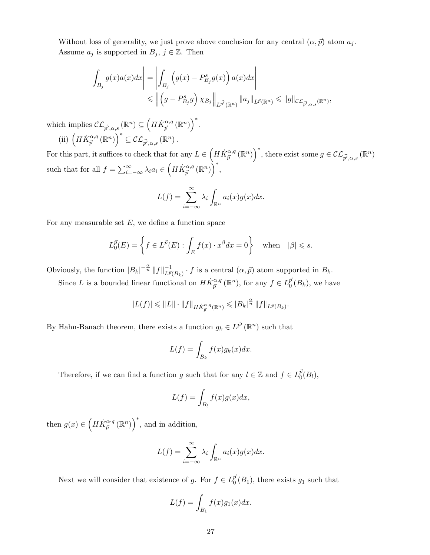Without loss of generality, we just prove above conclusion for any central  $(\alpha, \vec{p})$  atom  $a_i$ . Assume  $a_j$  is supported in  $B_j$ ,  $j \in \mathbb{Z}$ . Then

$$
\left| \int_{B_j} g(x) a(x) dx \right| = \left| \int_{B_j} \left( g(x) - P_{B_j}^s g(x) \right) a(x) dx \right|
$$
  

$$
\leq \left| \left( g - P_{B_j}^s g \right) \chi_{B_j} \right|_{L^{\vec{p'}}(\mathbb{R}^n)} \|a_j\|_{L^{\vec{p}}(\mathbb{R}^n)} \leq \|g\|_{\mathcal{CL}_{\vec{p'}, \alpha, s}(\mathbb{R}^n)},
$$

which implies  $\mathcal{CL}_{\vec{p'},\alpha,s}(\mathbb{R}^n) \subseteq \left(H\dot{K}_{\vec{p}}^{\alpha,q}(\mathbb{R}^n)\right)^*$ . (ii)  $\left(H\dot{K}_{\vec{p}}^{\alpha,q}(\mathbb{R}^n)\right)^* \subseteq C\mathcal{L}_{\vec{p'},\alpha,s}(\mathbb{R}^n).$ 

For this part, it suffices to check that for any  $L \in \left(H\dot{K}_{\vec{p}}^{\alpha,q}(\mathbb{R}^n)\right)^*$ , there exist some  $g \in \mathcal{CL}_{\vec{p'},\alpha,s}(\mathbb{R}^n)$ such that for all  $f = \sum_{i=-\infty}^{\infty} \lambda_i a_i \in \left(H\dot{K}_{\vec{p}}^{\alpha,q}(\mathbb{R}^n)\right)^*,$ 

$$
L(f) = \sum_{i=-\infty}^{\infty} \lambda_i \int_{\mathbb{R}^n} a_i(x) g(x) dx.
$$

For any measurable set  $E$ , we define a function space

$$
L_0^{\vec{p}}(E) = \left\{ f \in L^{\vec{p}}(E) : \int_E f(x) \cdot x^{\beta} dx = 0 \right\} \quad \text{when} \quad |\beta| \leq s.
$$

Obviously, the function  $|B_k|^{-\frac{\alpha}{n}} \|f\|_{L^{\vec{p}}}^{-1}$  $\frac{-1}{L^{\vec{p}}(B_k)} \cdot f$  is a central  $(\alpha, \vec{p})$  atom supported in  $B_k$ .

Since L is a bounded linear functional on  $H\dot{K}_{\vec{p}}^{\alpha,q}(\mathbb{R}^n)$ , for any  $f \in L^{\bar{p}}_0$  $_0^p(B_k)$ , we have

$$
|L(f)| \leq ||L|| \cdot ||f||_{H\dot{K}_{\vec{p}}^{\alpha,q}(\mathbb{R}^n)} \leq |B_k|^{\frac{\alpha}{n}} ||f||_{L^{\vec{p}}(B_k)}.
$$

By Hahn-Banach theorem, there exists a function  $g_k \in L^{\vec{p'}}(\mathbb{R}^n)$  such that

$$
L(f) = \int_{B_k} f(x)g_k(x)dx.
$$

Therefore, if we can find a function g such that for any  $l \in \mathbb{Z}$  and  $f \in L^{\bar{p}}_0$  $_0^p(B_l),$ 

$$
L(f) = \int_{B_l} f(x)g(x)dx,
$$

then  $g(x) \in \left(H\dot{K}_{\vec{p}}^{\alpha q}(\mathbb{R}^n)\right)^*$ , and in addition,

$$
L(f) = \sum_{i=-\infty}^{\infty} \lambda_i \int_{\mathbb{R}^n} a_i(x) g(x) dx.
$$

Next we will consider that existence of g. For  $f \in L_0^{\bar{p}}$  $_{0}^{p}(B_{1}),$  there exists  $g_{1}$  such that

$$
L(f) = \int_{B_1} f(x)g_1(x)dx.
$$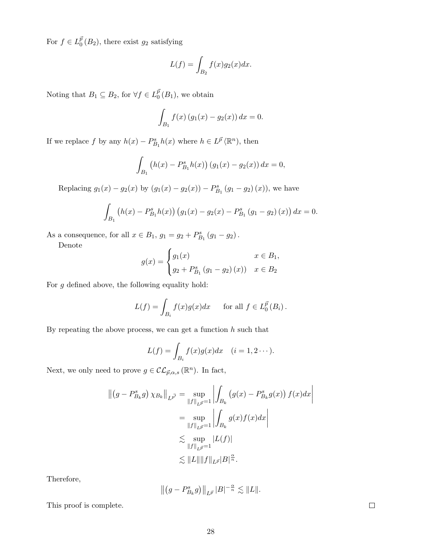For  $f \in L^{\bar{p}}_0$  $_{0}^{p}(B_{2})$ , there exist  $g_{2}$  satisfying

$$
L(f) = \int_{B_2} f(x)g_2(x)dx.
$$

Noting that  $B_1 \subseteq B_2$ , for  $\forall f \in L_0^{\bar{p}}$  $_0^p(B_1)$ , we obtain

$$
\int_{B_1} f(x) (g_1(x) - g_2(x)) dx = 0.
$$

If we replace f by any  $h(x) - P_{B_1}^s h(x)$  where  $h \in L^{\vec{p}}(\mathbb{R}^n)$ , then

$$
\int_{B_1} (h(x) - P_{B_1}^s h(x)) (g_1(x) - g_2(x)) dx = 0,
$$

Replacing  $g_1(x) - g_2(x)$  by  $(g_1(x) - g_2(x)) - P_{B_1}^s (g_1 - g_2)(x)$ , we have

$$
\int_{B_1} (h(x) - P_{B_1}^s h(x)) (g_1(x) - g_2(x) - P_{B_1}^s (g_1 - g_2)(x)) dx = 0.
$$

As a consequence, for all  $x \in B_1$ ,  $g_1 = g_2 + P_{B_1}^s (g_1 - g_2)$ .

Denote

$$
g(x) = \begin{cases} g_1(x) & x \in B_1, \\ g_2 + P_{B_1}^s (g_1 - g_2)(x) & x \in B_2 \end{cases}
$$

For  $g$  defined above, the following equality hold:

$$
L(f) = \int_{B_i} f(x)g(x)dx \quad \text{for all } f \in L_0^{\vec{p}}(B_i).
$$

By repeating the above process, we can get a function  $h$  such that

$$
L(f) = \int_{B_i} f(x)g(x)dx \quad (i = 1, 2 \cdots).
$$

Next, we only need to prove  $g \in \mathcal{CL}_{\vec{p},\alpha,s}(\mathbb{R}^n)$ . In fact,

$$
\left\| (g - P_{B_k}^s g) \chi_{B_k} \right\|_{L^{\vec{p'}}} = \sup_{\|f\|_{L^{\vec{p}}} = 1} \left| \int_{B_k} (g(x) - P_{B_k}^s g(x)) f(x) dx \right|
$$
  

$$
= \sup_{\|f\|_{L^{\vec{p}}} = 1} \left| \int_{B_k} g(x) f(x) dx \right|
$$
  

$$
\lesssim \sup_{\|f\|_{L^{\vec{p}}} = 1} |L(f)|
$$
  

$$
\lesssim \|L\| \|f\|_{L^{\vec{p}}} |B|^{\frac{\alpha}{n}}.
$$

Therefore,

$$
\left\| \left(g - P_{B_k}^s g\right) \right\|_{L^{\vec{p}}} |B|^{-\frac{\alpha}{n}} \lesssim \|L\|.
$$

This proof is complete.

 $\Box$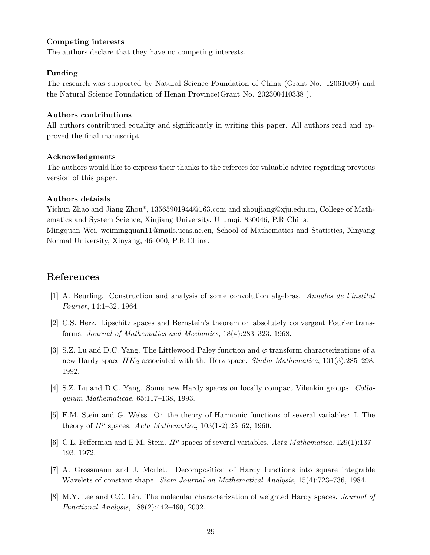#### Competing interests

The authors declare that they have no competing interests.

#### Funding

The research was supported by Natural Science Foundation of China (Grant No. 12061069) and the Natural Science Foundation of Henan Province(Grant No. 202300410338 ).

#### Authors contributions

All authors contributed equality and significantly in writing this paper. All authors read and approved the final manuscript.

#### Acknowledgments

The authors would like to express their thanks to the referees for valuable advice regarding previous version of this paper.

#### Authors detaials

Yichun Zhao and Jiang Zhou\*, 13565901944@163.com and zhoujiang@xju.edu.cn, College of Mathematics and System Science, Xinjiang University, Urumqi, 830046, P.R China. Mingquan Wei, weimingquan11@mails.ucas.ac.cn, School of Mathematics and Statistics, Xinyang Normal University, Xinyang, 464000, P.R China.

## References

- <span id="page-28-0"></span>[1] A. Beurling. Construction and analysis of some convolution algebras. Annales de l'institut Fourier, 14:1–32, 1964.
- <span id="page-28-1"></span>[2] C.S. Herz. Lipschitz spaces and Bernstein's theorem on absolutely convergent Fourier transforms. Journal of Mathematics and Mechanics, 18(4):283–323, 1968.
- <span id="page-28-2"></span>[3] S.Z. Lu and D.C. Yang. The Littlewood-Paley function and  $\varphi$  transform characterizations of a new Hardy space  $HK_2$  associated with the Herz space. Studia Mathematica, 101(3):285–298, 1992.
- <span id="page-28-3"></span>[4] S.Z. Lu and D.C. Yang. Some new Hardy spaces on locally compact Vilenkin groups. Colloquium Mathematicae, 65:117–138, 1993.
- <span id="page-28-4"></span>[5] E.M. Stein and G. Weiss. On the theory of Harmonic functions of several variables: I. The theory of  $H^p$  spaces. Acta Mathematica, 103(1-2):25-62, 1960.
- <span id="page-28-5"></span>[6] C.L. Fefferman and E.M. Stein.  $H^p$  spaces of several variables. Acta Mathematica, 129(1):137– 193, 1972.
- <span id="page-28-6"></span>[7] A. Grossmann and J. Morlet. Decomposition of Hardy functions into square integrable Wavelets of constant shape. Siam Journal on Mathematical Analysis, 15(4):723–736, 1984.
- <span id="page-28-7"></span>[8] M.Y. Lee and C.C. Lin. The molecular characterization of weighted Hardy spaces. *Journal of* Functional Analysis, 188(2):442–460, 2002.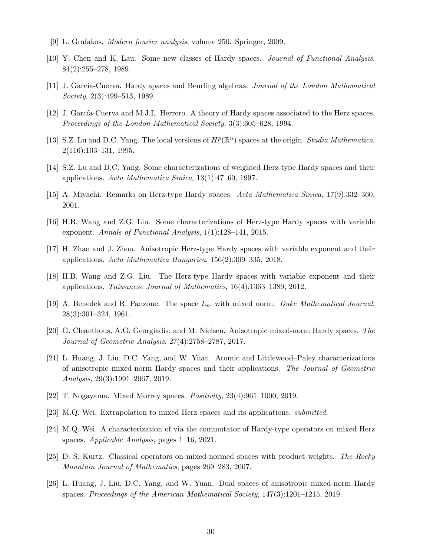- <span id="page-29-0"></span>[9] L. Grafakos. Modern fourier analysis, volume 250. Springer, 2009.
- <span id="page-29-1"></span>[10] Y. Chen and K. Lau. Some new classes of Hardy spaces. Journal of Functional Analysis, 84(2):255–278, 1989.
- <span id="page-29-2"></span>[11] J. García-Cuerva. Hardy spaces and Beurling algebras. Journal of the London Mathematical Society, 2(3):499–513, 1989.
- <span id="page-29-3"></span>[12] J. García-Cuerva and M.J.L. Herrero. A theory of Hardy spaces associated to the Herz spaces. Proceedings of the London Mathematical Society, 3(3):605–628, 1994.
- <span id="page-29-4"></span>[13] S.Z. Lu and D.C. Yang. The local versions of  $H^p(\mathbb{R}^n)$  spaces at the origin. Studia Mathematica, 2(116):103–131, 1995.
- <span id="page-29-5"></span>[14] S.Z. Lu and D.C. Yang. Some characterizations of weighted Herz-type Hardy spaces and their applications. Acta Mathematica Sinica, 13(1):47–60, 1997.
- [15] A. Miyachi. Remarks on Herz-type Hardy spaces. Acta Mathematica Sinica, 17(9):332–360, 2001.
- [16] H.B. Wang and Z.G. Liu. Some characterizations of Herz-type Hardy spaces with variable exponent. Annals of Functional Analysis, 1(1):128–141, 2015.
- [17] H. Zhao and J. Zhou. Anisotropic Herz-type Hardy spaces with variable exponent and their applications. Acta Mathematica Hungarica, 156(2):309–335, 2018.
- <span id="page-29-6"></span>[18] H.B. Wang and Z.G. Liu. The Herz-type Hardy spaces with variable exponent and their applications. Taiwanese Journal of Mathematics, 16(4):1363–1389, 2012.
- <span id="page-29-7"></span>[19] A. Benedek and R. Panzone. The space  $L_p$ , with mixed norm. Duke Mathematical Journal, 28(3):301–324, 1961.
- <span id="page-29-8"></span>[20] G. Cleanthous, A.G. Georgiadis, and M. Nielsen. Anisotropic mixed-norm Hardy spaces. The Journal of Geometric Analysis, 27(4):2758–2787, 2017.
- <span id="page-29-9"></span>[21] L. Huang, J. Liu, D.C. Yang, and W. Yuan. Atomic and Littlewood–Paley characterizations of anisotropic mixed-norm Hardy spaces and their applications. The Journal of Geometric Analysis, 29(3):1991–2067, 2019.
- <span id="page-29-10"></span>[22] T. Nogayama. Mixed Morrey spaces. Positivity, 23(4):961–1000, 2019.
- <span id="page-29-11"></span>[23] M.Q. Wei. Extrapolation to mixed Herz spaces and its applications. submitted.
- <span id="page-29-12"></span>[24] M.Q. Wei. A characterization of via the commutator of Hardy-type operators on mixed Herz spaces. Applicable Analysis, pages 1–16, 2021.
- <span id="page-29-13"></span>[25] D. S. Kurtz. Classical operators on mixed-normed spaces with product weights. The Rocky Mountain Journal of Mathematics, pages 269–283, 2007.
- <span id="page-29-14"></span>[26] L. Huang, J. Liu, D.C. Yang, and W. Yuan. Dual spaces of anisotropic mixed-norm Hardy spaces. Proceedings of the American Mathematical Society, 147(3):1201–1215, 2019.